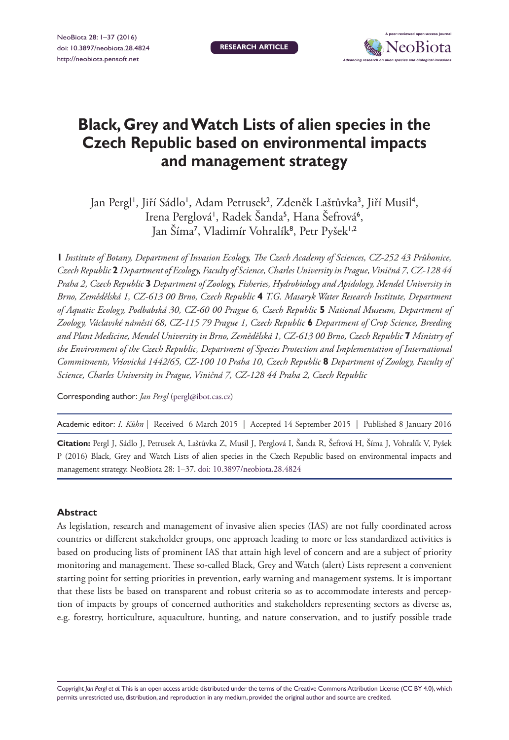

# **Black, Grey and Watch Lists of alien species in the Czech Republic based on environmental impacts and management strategy**

Jan Pergl', Jiří Sádlo', Adam Petrusek<sup>2</sup>, Zdeněk Laštůvka<sup>3</sup>, Jiří Musil<sup>4</sup>, Irena Perglová', Radek Šanda<sup>5</sup>, Hana Šefrová<sup>6</sup>, Jan Šíma<sup>7</sup>, Vladimír Vohralík<sup>8</sup>, Petr Pyšek<sup>1,2</sup>

**1** *Institute of Botany, Department of Invasion Ecology, The Czech Academy of Sciences, CZ-252 43 Průhonice, Czech Republic* **2** *Department of Ecology, Faculty of Science, Charles University in Prague, Viničná 7, CZ-128 44 Praha 2, Czech Republic* **3** *Department of Zoology, Fisheries, Hydrobiology and Apidology, Mendel University in Brno, Zemědělská 1, CZ-613 00 Brno, Czech Republic* **4** *T.G. Masaryk Water Research Institute, Department of Aquatic Ecology, Podbabská 30, CZ-60 00 Prague 6, Czech Republic* **5** *National Museum, Department of Zoology, Václavské náměstí 68, CZ-115 79 Prague 1, Czech Republic* **6** *Department of Crop Science, Breeding and Plant Medicine, Mendel University in Brno, Zemědělská 1, CZ-613 00 Brno, Czech Republic* **7** *Ministry of the Environment of the Czech Republic, Department of Species Protection and Implementation of International Commitments, Vršovická 1442/65, CZ-100 10 Praha 10, Czech Republic* **8** *Department of Zoology, Faculty of Science, Charles University in Prague, Viničná 7, CZ-128 44 Praha 2, Czech Republic*

Corresponding author: *Jan Pergl* [\(pergl@ibot.cas.cz\)](mailto:pergl@ibot.cas.cz)

Academic editor: *I. Kühn* | Received 6 March 2015 | Accepted 14 September 2015 | Published 8 January 2016

**Citation:** Pergl J, Sádlo J, Petrusek A, Laštůvka Z, Musil J, Perglová I, Šanda R, Šefrová H, Šíma J, Vohralík V, Pyšek P (2016) Black, Grey and Watch Lists of alien species in the Czech Republic based on environmental impacts and management strategy. NeoBiota 28: 1–37. [doi: 10.3897/neobiota.28.4824](http://dx.doi.org/10.3897/neobiota.28.4824)

### **Abstract**

As legislation, research and management of invasive alien species (IAS) are not fully coordinated across countries or different stakeholder groups, one approach leading to more or less standardized activities is based on producing lists of prominent IAS that attain high level of concern and are a subject of priority monitoring and management. These so-called Black, Grey and Watch (alert) Lists represent a convenient starting point for setting priorities in prevention, early warning and management systems. It is important that these lists be based on transparent and robust criteria so as to accommodate interests and perception of impacts by groups of concerned authorities and stakeholders representing sectors as diverse as, e.g. forestry, horticulture, aquaculture, hunting, and nature conservation, and to justify possible trade

Copyright *Jan Pergl et al.* This is an open access article distributed under the terms of the [Creative Commons Attribution License \(CC BY 4.0\),](http://creativecommons.org/licenses/by/4.0/) which permits unrestricted use, distribution, and reproduction in any medium, provided the original author and source are credited.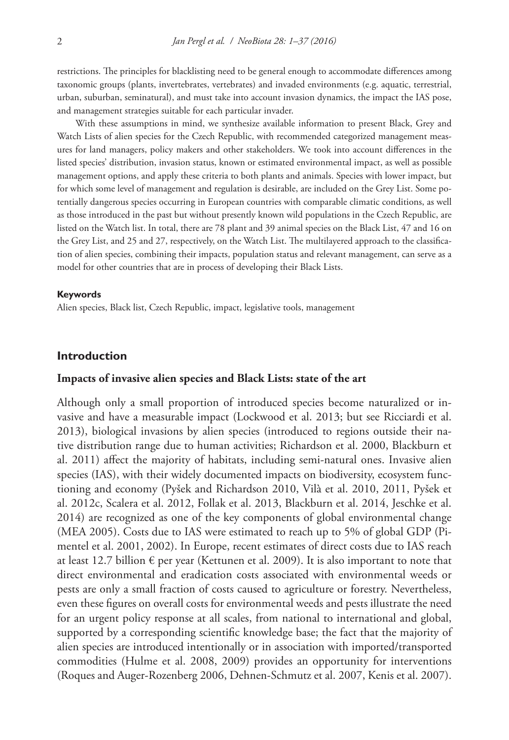restrictions. The principles for blacklisting need to be general enough to accommodate differences among taxonomic groups (plants, invertebrates, vertebrates) and invaded environments (e.g. aquatic, terrestrial, urban, suburban, seminatural), and must take into account invasion dynamics, the impact the IAS pose, and management strategies suitable for each particular invader.

With these assumptions in mind, we synthesize available information to present Black, Grey and Watch Lists of alien species for the Czech Republic, with recommended categorized management measures for land managers, policy makers and other stakeholders. We took into account differences in the listed species' distribution, invasion status, known or estimated environmental impact, as well as possible management options, and apply these criteria to both plants and animals. Species with lower impact, but for which some level of management and regulation is desirable, are included on the Grey List. Some potentially dangerous species occurring in European countries with comparable climatic conditions, as well as those introduced in the past but without presently known wild populations in the Czech Republic, are listed on the Watch list. In total, there are 78 plant and 39 animal species on the Black List, 47 and 16 on the Grey List, and 25 and 27, respectively, on the Watch List. The multilayered approach to the classification of alien species, combining their impacts, population status and relevant management, can serve as a model for other countries that are in process of developing their Black Lists.

#### **Keywords**

Alien species, Black list, Czech Republic, impact, legislative tools, management

### **Introduction**

### **Impacts of invasive alien species and Black Lists: state of the art**

Although only a small proportion of introduced species become naturalized or invasive and have a measurable impact (Lockwood et al. 2013; but see Ricciardi et al. 2013), biological invasions by alien species (introduced to regions outside their native distribution range due to human activities; Richardson et al. 2000, Blackburn et al. 2011) affect the majority of habitats, including semi-natural ones. Invasive alien species (IAS), with their widely documented impacts on biodiversity, ecosystem functioning and economy (Pyšek and Richardson 2010, Vilà et al. 2010, 2011, Pyšek et al. 2012c, Scalera et al. 2012, Follak et al. 2013, Blackburn et al. 2014, Jeschke et al. 2014) are recognized as one of the key components of global environmental change (MEA 2005). Costs due to IAS were estimated to reach up to 5% of global GDP (Pimentel et al. 2001, 2002). In Europe, recent estimates of direct costs due to IAS reach at least 12.7 billion  $\epsilon$  per year (Kettunen et al. 2009). It is also important to note that direct environmental and eradication costs associated with environmental weeds or pests are only a small fraction of costs caused to agriculture or forestry. Nevertheless, even these figures on overall costs for environmental weeds and pests illustrate the need for an urgent policy response at all scales, from national to international and global, supported by a corresponding scientific knowledge base; the fact that the majority of alien species are introduced intentionally or in association with imported/transported commodities (Hulme et al. 2008, 2009) provides an opportunity for interventions (Roques and Auger-Rozenberg 2006, Dehnen-Schmutz et al. 2007, Kenis et al. 2007).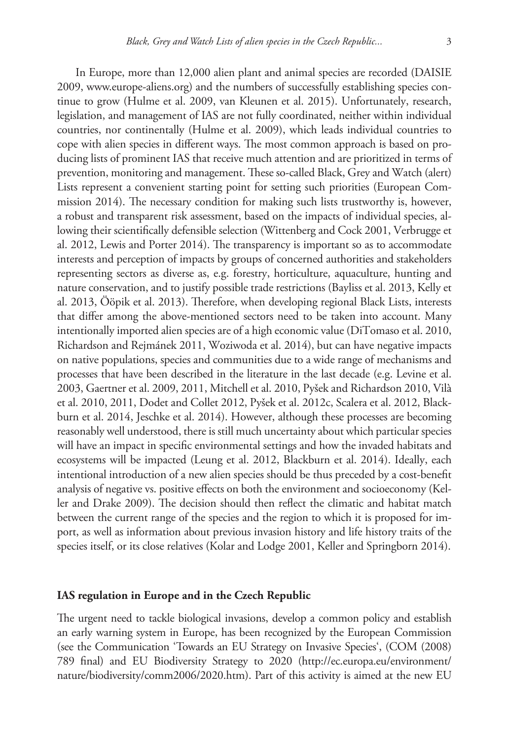In Europe, more than 12,000 alien plant and animal species are recorded (DAISIE 2009, [www.europe-aliens.org\)](http://www.europe-aliens.org) and the numbers of successfully establishing species continue to grow (Hulme et al. 2009, van Kleunen et al. 2015). Unfortunately, research, legislation, and management of IAS are not fully coordinated, neither within individual countries, nor continentally (Hulme et al. 2009), which leads individual countries to cope with alien species in different ways. The most common approach is based on producing lists of prominent IAS that receive much attention and are prioritized in terms of prevention, monitoring and management. These so-called Black, Grey and Watch (alert) Lists represent a convenient starting point for setting such priorities (European Commission 2014). The necessary condition for making such lists trustworthy is, however, a robust and transparent risk assessment, based on the impacts of individual species, allowing their scientifically defensible selection (Wittenberg and Cock 2001, Verbrugge et al. 2012, Lewis and Porter 2014). The transparency is important so as to accommodate interests and perception of impacts by groups of concerned authorities and stakeholders representing sectors as diverse as, e.g. forestry, horticulture, aquaculture, hunting and nature conservation, and to justify possible trade restrictions (Bayliss et al. 2013, Kelly et al. 2013, Ööpik et al. 2013). Therefore, when developing regional Black Lists, interests that differ among the above-mentioned sectors need to be taken into account. Many intentionally imported alien species are of a high economic value (DiTomaso et al. 2010, Richardson and Rejmánek 2011, Woziwoda et al. 2014), but can have negative impacts on native populations, species and communities due to a wide range of mechanisms and processes that have been described in the literature in the last decade (e.g. Levine et al. 2003, Gaertner et al. 2009, 2011, Mitchell et al. 2010, Pyšek and Richardson 2010, Vilà et al. 2010, 2011, Dodet and Collet 2012, Pyšek et al. 2012c, Scalera et al. 2012, Blackburn et al. 2014, Jeschke et al. 2014). However, although these processes are becoming reasonably well understood, there is still much uncertainty about which particular species will have an impact in specific environmental settings and how the invaded habitats and ecosystems will be impacted (Leung et al. 2012, Blackburn et al. 2014). Ideally, each intentional introduction of a new alien species should be thus preceded by a cost-benefit analysis of negative vs. positive effects on both the environment and socioeconomy (Keller and Drake 2009). The decision should then reflect the climatic and habitat match between the current range of the species and the region to which it is proposed for import, as well as information about previous invasion history and life history traits of the species itself, or its close relatives (Kolar and Lodge 2001, Keller and Springborn 2014).

### **IAS regulation in Europe and in the Czech Republic**

The urgent need to tackle biological invasions, develop a common policy and establish an early warning system in Europe, has been recognized by the European Commission (see the Communication 'Towards an EU Strategy on Invasive Species', (COM (2008) 789 final) and EU Biodiversity Strategy to 2020 [\(http://ec.europa.eu/environment/](http://ec.europa.eu/environment/nature/biodiversity/comm2006/2020.htm) [nature/biodiversity/comm2006/2020.htm](http://ec.europa.eu/environment/nature/biodiversity/comm2006/2020.htm)). Part of this activity is aimed at the new EU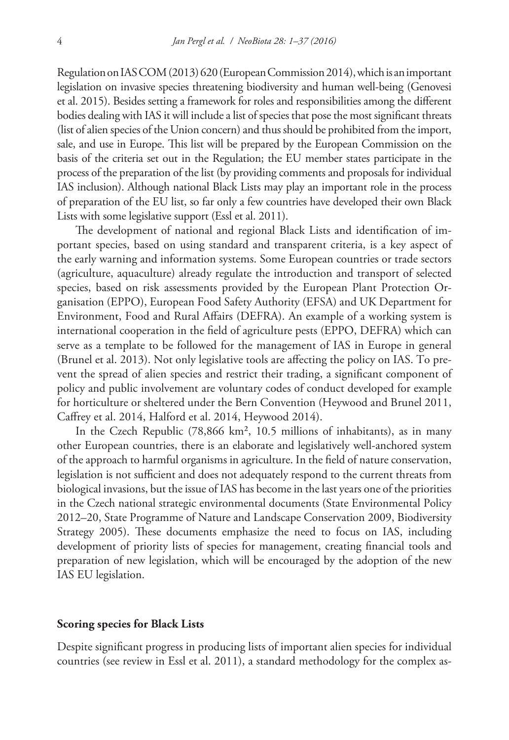Regulation on IAS COM (2013) 620 (European Commission 2014), which is an important legislation on invasive species threatening biodiversity and human well-being (Genovesi et al. 2015). Besides setting a framework for roles and responsibilities among the different bodies dealing with IAS it will include a list of species that pose the most significant threats (list of alien species of the Union concern) and thus should be prohibited from the import, sale, and use in Europe. This list will be prepared by the European Commission on the basis of the criteria set out in the Regulation; the EU member states participate in the process of the preparation of the list (by providing comments and proposals for individual IAS inclusion). Although national Black Lists may play an important role in the process of preparation of the EU list, so far only a few countries have developed their own Black Lists with some legislative support (Essl et al. 2011).

The development of national and regional Black Lists and identification of important species, based on using standard and transparent criteria, is a key aspect of the early warning and information systems. Some European countries or trade sectors (agriculture, aquaculture) already regulate the introduction and transport of selected species, based on risk assessments provided by the European Plant Protection Organisation (EPPO), European Food Safety Authority (EFSA) and UK Department for Environment, Food and Rural Affairs (DEFRA). An example of a working system is international cooperation in the field of agriculture pests (EPPO, DEFRA) which can serve as a template to be followed for the management of IAS in Europe in general (Brunel et al. 2013). Not only legislative tools are affecting the policy on IAS. To prevent the spread of alien species and restrict their trading, a significant component of policy and public involvement are voluntary codes of conduct developed for example for horticulture or sheltered under the Bern Convention (Heywood and Brunel 2011, Caffrey et al. 2014, Halford et al. 2014, Heywood 2014).

In the Czech Republic (78,866 km², 10.5 millions of inhabitants), as in many other European countries, there is an elaborate and legislatively well-anchored system of the approach to harmful organisms in agriculture. In the field of nature conservation, legislation is not sufficient and does not adequately respond to the current threats from biological invasions, but the issue of IAS has become in the last years one of the priorities in the Czech national strategic environmental documents (State Environmental Policy 2012–20, State Programme of Nature and Landscape Conservation 2009, Biodiversity Strategy 2005). These documents emphasize the need to focus on IAS, including development of priority lists of species for management, creating financial tools and preparation of new legislation, which will be encouraged by the adoption of the new IAS EU legislation.

### **Scoring species for Black Lists**

Despite significant progress in producing lists of important alien species for individual countries (see review in Essl et al. 2011), a standard methodology for the complex as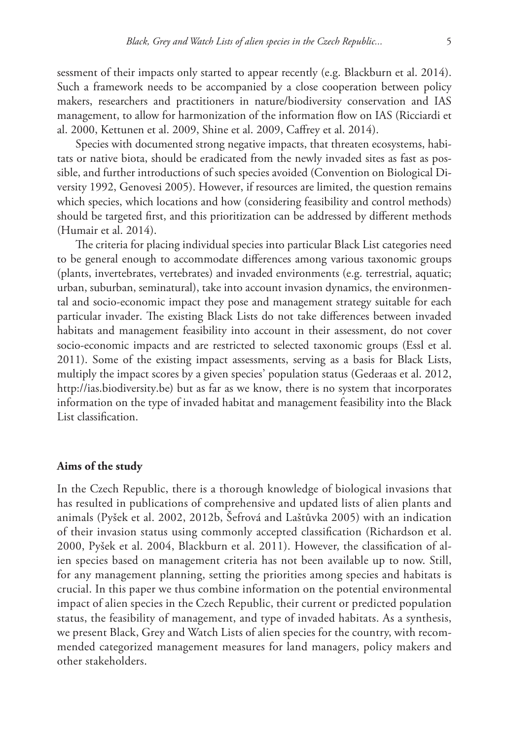sessment of their impacts only started to appear recently (e.g. Blackburn et al. 2014). Such a framework needs to be accompanied by a close cooperation between policy makers, researchers and practitioners in nature/biodiversity conservation and IAS management, to allow for harmonization of the information flow on IAS (Ricciardi et al. 2000, Kettunen et al. 2009, Shine et al. 2009, Caffrey et al. 2014).

Species with documented strong negative impacts, that threaten ecosystems, habitats or native biota, should be eradicated from the newly invaded sites as fast as possible, and further introductions of such species avoided (Convention on Biological Diversity 1992, Genovesi 2005). However, if resources are limited, the question remains which species, which locations and how (considering feasibility and control methods) should be targeted first, and this prioritization can be addressed by different methods (Humair et al. 2014).

The criteria for placing individual species into particular Black List categories need to be general enough to accommodate differences among various taxonomic groups (plants, invertebrates, vertebrates) and invaded environments (e.g. terrestrial, aquatic; urban, suburban, seminatural), take into account invasion dynamics, the environmental and socio-economic impact they pose and management strategy suitable for each particular invader. The existing Black Lists do not take differences between invaded habitats and management feasibility into account in their assessment, do not cover socio-economic impacts and are restricted to selected taxonomic groups (Essl et al. 2011). Some of the existing impact assessments, serving as a basis for Black Lists, multiply the impact scores by a given species' population status (Gederaas et al. 2012, [http://ias.biodiversity.be\)](http://ias.biodiversity.be) but as far as we know, there is no system that incorporates information on the type of invaded habitat and management feasibility into the Black List classification.

### **Aims of the study**

In the Czech Republic, there is a thorough knowledge of biological invasions that has resulted in publications of comprehensive and updated lists of alien plants and animals (Pyšek et al. 2002, 2012b, Šefrová and Laštůvka 2005) with an indication of their invasion status using commonly accepted classification (Richardson et al. 2000, Pyšek et al. 2004, Blackburn et al. 2011). However, the classification of alien species based on management criteria has not been available up to now. Still, for any management planning, setting the priorities among species and habitats is crucial. In this paper we thus combine information on the potential environmental impact of alien species in the Czech Republic, their current or predicted population status, the feasibility of management, and type of invaded habitats. As a synthesis, we present Black, Grey and Watch Lists of alien species for the country, with recommended categorized management measures for land managers, policy makers and other stakeholders.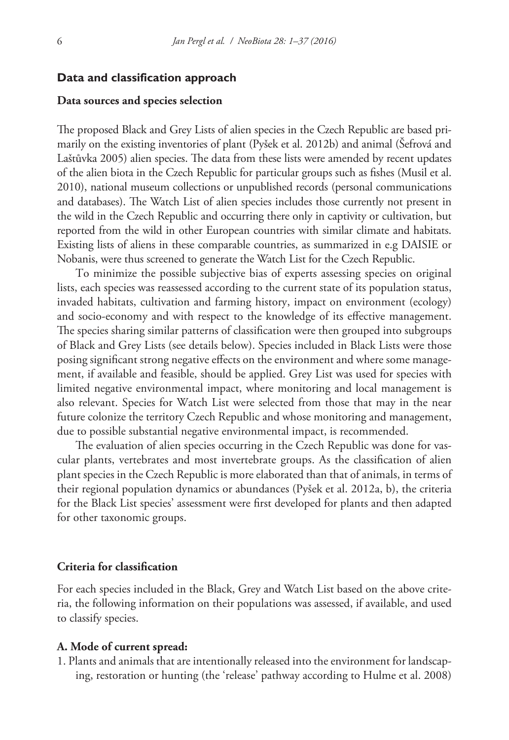### **Data and classification approach**

### **Data sources and species selection**

The proposed Black and Grey Lists of alien species in the Czech Republic are based primarily on the existing inventories of plant (Pyšek et al. 2012b) and animal (Šefrová and Laštůvka 2005) alien species. The data from these lists were amended by recent updates of the alien biota in the Czech Republic for particular groups such as fishes (Musil et al. 2010), national museum collections or unpublished records (personal communications and databases). The Watch List of alien species includes those currently not present in the wild in the Czech Republic and occurring there only in captivity or cultivation, but reported from the wild in other European countries with similar climate and habitats. Existing lists of aliens in these comparable countries, as summarized in e.g DAISIE or Nobanis, were thus screened to generate the Watch List for the Czech Republic.

To minimize the possible subjective bias of experts assessing species on original lists, each species was reassessed according to the current state of its population status, invaded habitats, cultivation and farming history, impact on environment (ecology) and socio-economy and with respect to the knowledge of its effective management. The species sharing similar patterns of classification were then grouped into subgroups of Black and Grey Lists (see details below). Species included in Black Lists were those posing significant strong negative effects on the environment and where some management, if available and feasible, should be applied. Grey List was used for species with limited negative environmental impact, where monitoring and local management is also relevant. Species for Watch List were selected from those that may in the near future colonize the territory Czech Republic and whose monitoring and management, due to possible substantial negative environmental impact, is recommended.

The evaluation of alien species occurring in the Czech Republic was done for vascular plants, vertebrates and most invertebrate groups. As the classification of alien plant species in the Czech Republic is more elaborated than that of animals, in terms of their regional population dynamics or abundances (Pyšek et al. 2012a, b), the criteria for the Black List species' assessment were first developed for plants and then adapted for other taxonomic groups.

### **Criteria for classification**

For each species included in the Black, Grey and Watch List based on the above criteria, the following information on their populations was assessed, if available, and used to classify species.

### **A. Mode of current spread:**

1. Plants and animals that are intentionally released into the environment for landscaping, restoration or hunting (the 'release' pathway according to Hulme et al. 2008)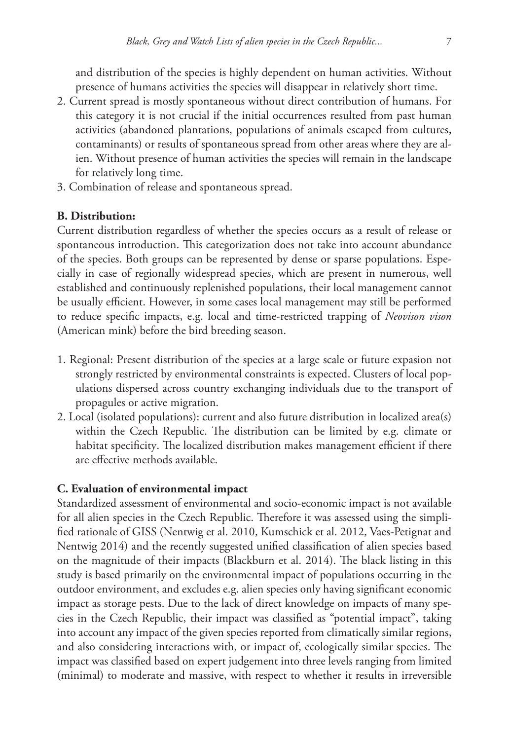and distribution of the species is highly dependent on human activities. Without presence of humans activities the species will disappear in relatively short time.

- 2. Current spread is mostly spontaneous without direct contribution of humans. For this category it is not crucial if the initial occurrences resulted from past human activities (abandoned plantations, populations of animals escaped from cultures, contaminants) or results of spontaneous spread from other areas where they are alien. Without presence of human activities the species will remain in the landscape for relatively long time.
- 3. Combination of release and spontaneous spread.

## **B. Distribution:**

Current distribution regardless of whether the species occurs as a result of release or spontaneous introduction. This categorization does not take into account abundance of the species. Both groups can be represented by dense or sparse populations. Especially in case of regionally widespread species, which are present in numerous, well established and continuously replenished populations, their local management cannot be usually efficient. However, in some cases local management may still be performed to reduce specific impacts, e.g. local and time-restricted trapping of *Neovison vison* (American mink) before the bird breeding season.

- 1. Regional: Present distribution of the species at a large scale or future expasion not strongly restricted by environmental constraints is expected. Clusters of local populations dispersed across country exchanging individuals due to the transport of propagules or active migration.
- 2. Local (isolated populations): current and also future distribution in localized area(s) within the Czech Republic. The distribution can be limited by e.g. climate or habitat specificity. The localized distribution makes management efficient if there are effective methods available.

## **C. Evaluation of environmental impact**

Standardized assessment of environmental and socio-economic impact is not available for all alien species in the Czech Republic. Therefore it was assessed using the simplified rationale of GISS (Nentwig et al. 2010, Kumschick et al. 2012, Vaes-Petignat and Nentwig 2014) and the recently suggested unified classification of alien species based on the magnitude of their impacts (Blackburn et al. 2014). The black listing in this study is based primarily on the environmental impact of populations occurring in the outdoor environment, and excludes e.g. alien species only having significant economic impact as storage pests. Due to the lack of direct knowledge on impacts of many species in the Czech Republic, their impact was classified as "potential impact", taking into account any impact of the given species reported from climatically similar regions, and also considering interactions with, or impact of, ecologically similar species. The impact was classified based on expert judgement into three levels ranging from limited (minimal) to moderate and massive, with respect to whether it results in irreversible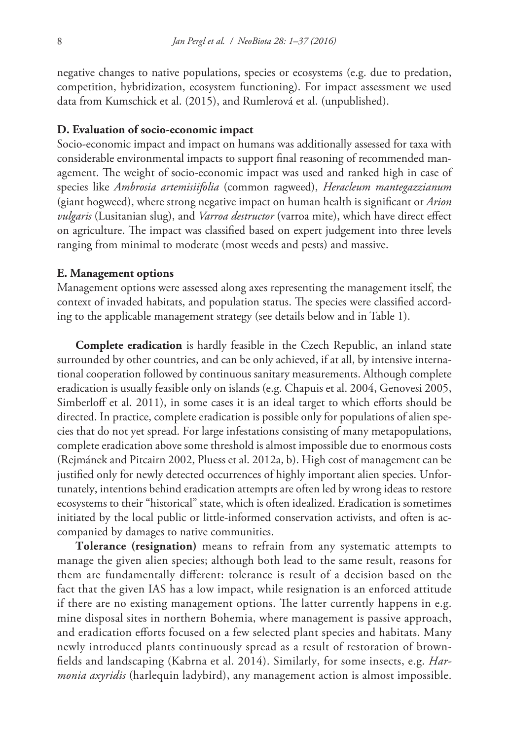negative changes to native populations, species or ecosystems (e.g. due to predation, competition, hybridization, ecosystem functioning). For impact assessment we used data from Kumschick et al. (2015), and Rumlerová et al. (unpublished).

### **D. Evaluation of socio-economic impact**

Socio-economic impact and impact on humans was additionally assessed for taxa with considerable environmental impacts to support final reasoning of recommended management. The weight of socio-economic impact was used and ranked high in case of species like *Ambrosia artemisiifolia* (common ragweed), *Heracleum mantegazzianum* (giant hogweed), where strong negative impact on human health is significant or *Arion vulgaris* (Lusitanian slug), and *Varroa destructor* (varroa mite), which have direct effect on agriculture. The impact was classified based on expert judgement into three levels ranging from minimal to moderate (most weeds and pests) and massive.

### **E. Management options**

Management options were assessed along axes representing the management itself, the context of invaded habitats, and population status. The species were classified according to the applicable management strategy (see details below and in Table 1).

**Complete eradication** is hardly feasible in the Czech Republic, an inland state surrounded by other countries, and can be only achieved, if at all, by intensive international cooperation followed by continuous sanitary measurements. Although complete eradication is usually feasible only on islands (e.g. Chapuis et al. 2004, Genovesi 2005, Simberloff et al. 2011), in some cases it is an ideal target to which efforts should be directed. In practice, complete eradication is possible only for populations of alien species that do not yet spread. For large infestations consisting of many metapopulations, complete eradication above some threshold is almost impossible due to enormous costs (Rejmánek and Pitcairn 2002, Pluess et al. 2012a, b). High cost of management can be justified only for newly detected occurrences of highly important alien species. Unfortunately, intentions behind eradication attempts are often led by wrong ideas to restore ecosystems to their "historical" state, which is often idealized. Eradication is sometimes initiated by the local public or little-informed conservation activists, and often is accompanied by damages to native communities.

**Tolerance (resignation)** means to refrain from any systematic attempts to manage the given alien species; although both lead to the same result, reasons for them are fundamentally different: tolerance is result of a decision based on the fact that the given IAS has a low impact, while resignation is an enforced attitude if there are no existing management options. The latter currently happens in e.g. mine disposal sites in northern Bohemia, where management is passive approach, and eradication efforts focused on a few selected plant species and habitats. Many newly introduced plants continuously spread as a result of restoration of brownfields and landscaping (Kabrna et al. 2014). Similarly, for some insects, e.g. *Harmonia axyridis* (harlequin ladybird), any management action is almost impossible.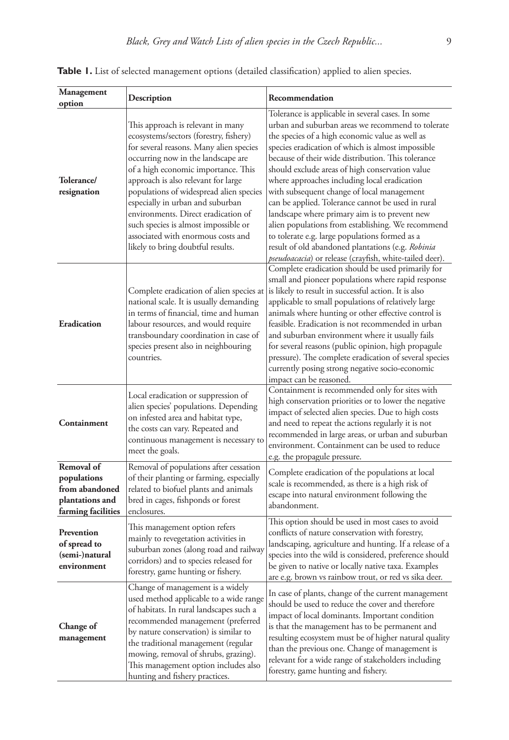| Management                                                                                          | Description                                                                                                                                                                                                                                                                                                                                                                                                                                                                         | Recommendation                                                                                                                                                                                                                                                                                                                                                                                                                                                                                                                                                                                                                                                                                |
|-----------------------------------------------------------------------------------------------------|-------------------------------------------------------------------------------------------------------------------------------------------------------------------------------------------------------------------------------------------------------------------------------------------------------------------------------------------------------------------------------------------------------------------------------------------------------------------------------------|-----------------------------------------------------------------------------------------------------------------------------------------------------------------------------------------------------------------------------------------------------------------------------------------------------------------------------------------------------------------------------------------------------------------------------------------------------------------------------------------------------------------------------------------------------------------------------------------------------------------------------------------------------------------------------------------------|
| option                                                                                              |                                                                                                                                                                                                                                                                                                                                                                                                                                                                                     | Tolerance is applicable in several cases. In some                                                                                                                                                                                                                                                                                                                                                                                                                                                                                                                                                                                                                                             |
| Tolerance/<br>resignation                                                                           | This approach is relevant in many<br>ecosystems/sectors (forestry, fishery)<br>for several reasons. Many alien species<br>occurring now in the landscape are<br>of a high economic importance. This<br>approach is also relevant for large<br>populations of widespread alien species<br>especially in urban and suburban<br>environments. Direct eradication of<br>such species is almost impossible or<br>associated with enormous costs and<br>likely to bring doubtful results. | urban and suburban areas we recommend to tolerate<br>the species of a high economic value as well as<br>species eradication of which is almost impossible<br>because of their wide distribution. This tolerance<br>should exclude areas of high conservation value<br>where approaches including local eradication<br>with subsequent change of local management<br>can be applied. Tolerance cannot be used in rural<br>landscape where primary aim is to prevent new<br>alien populations from establishing. We recommend<br>to tolerate e.g. large populations formed as a<br>result of old abandoned plantations (e.g. Robinia<br>pseudoacacia) or release (crayfish, white-tailed deer). |
| Eradication                                                                                         | Complete eradication of alien species at<br>national scale. It is usually demanding<br>in terms of financial, time and human<br>labour resources, and would require<br>transboundary coordination in case of<br>species present also in neighbouring<br>countries.                                                                                                                                                                                                                  | Complete eradication should be used primarily for<br>small and pioneer populations where rapid response<br>is likely to result in successful action. It is also<br>applicable to small populations of relatively large<br>animals where hunting or other effective control is<br>feasible. Eradication is not recommended in urban<br>and suburban environment where it usually fails<br>for several reasons (public opinion, high propagule<br>pressure). The complete eradication of several species<br>currently posing strong negative socio-economic<br>impact can be reasoned.                                                                                                          |
| Containment<br>Removal of<br>populations<br>from abandoned<br>plantations and<br>farming facilities | Local eradication or suppression of<br>alien species' populations. Depending<br>on infested area and habitat type,<br>the costs can vary. Repeated and<br>continuous management is necessary to<br>meet the goals.                                                                                                                                                                                                                                                                  | Containment is recommended only for sites with<br>high conservation priorities or to lower the negative<br>impact of selected alien species. Due to high costs<br>and need to repeat the actions regularly it is not<br>recommended in large areas, or urban and suburban<br>environment. Containment can be used to reduce<br>e.g. the propagule pressure.                                                                                                                                                                                                                                                                                                                                   |
|                                                                                                     | Removal of populations after cessation<br>of their planting or farming, especially<br>related to biofuel plants and animals<br>bred in cages, fishponds or forest<br>enclosures.                                                                                                                                                                                                                                                                                                    | Complete eradication of the populations at local<br>scale is recommended, as there is a high risk of<br>escape into natural environment following the<br>abandonment.                                                                                                                                                                                                                                                                                                                                                                                                                                                                                                                         |
| Prevention<br>of spread to<br>(semi-)natural<br>environment                                         | This management option refers<br>mainly to revegetation activities in<br>suburban zones (along road and railway<br>corridors) and to species released for<br>forestry, game hunting or fishery.                                                                                                                                                                                                                                                                                     | This option should be used in most cases to avoid<br>conflicts of nature conservation with forestry,<br>landscaping, agriculture and hunting. If a release of a<br>species into the wild is considered, preference should<br>be given to native or locally native taxa. Examples<br>are e.g. brown vs rainbow trout, or red vs sika deer.                                                                                                                                                                                                                                                                                                                                                     |
| Change of<br>management                                                                             | Change of management is a widely<br>used method applicable to a wide range<br>of habitats. In rural landscapes such a<br>recommended management (preferred<br>by nature conservation) is similar to<br>the traditional management (regular<br>mowing, removal of shrubs, grazing).<br>This management option includes also<br>hunting and fishery practices.                                                                                                                        | In case of plants, change of the current management<br>should be used to reduce the cover and therefore<br>impact of local dominants. Important condition<br>is that the management has to be permanent and<br>resulting ecosystem must be of higher natural quality<br>than the previous one. Change of management is<br>relevant for a wide range of stakeholders including<br>forestry, game hunting and fishery.                                                                                                                                                                                                                                                                          |

Table 1. List of selected management options (detailed classification) applied to alien species.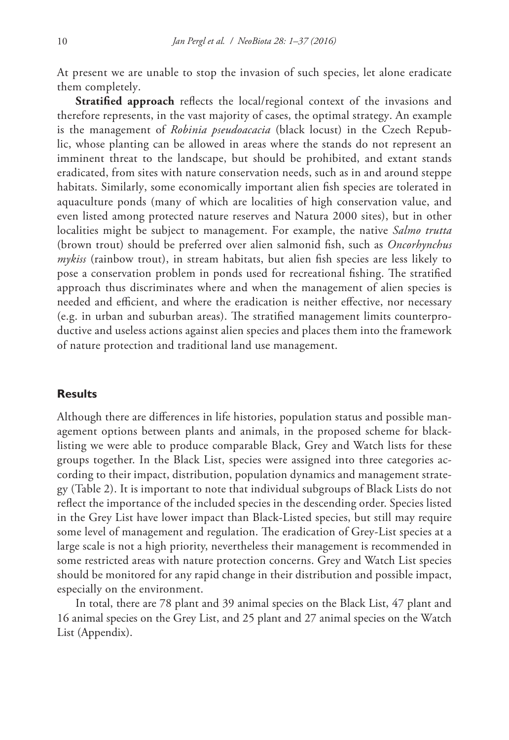At present we are unable to stop the invasion of such species, let alone eradicate them completely.

**Stratified approach** reflects the local/regional context of the invasions and therefore represents, in the vast majority of cases, the optimal strategy. An example is the management of *Robinia pseudoacacia* (black locust) in the Czech Republic, whose planting can be allowed in areas where the stands do not represent an imminent threat to the landscape, but should be prohibited, and extant stands eradicated, from sites with nature conservation needs, such as in and around steppe habitats. Similarly, some economically important alien fish species are tolerated in aquaculture ponds (many of which are localities of high conservation value, and even listed among protected nature reserves and Natura 2000 sites), but in other localities might be subject to management. For example, the native *Salmo trutta* (brown trout) should be preferred over alien salmonid fish, such as *Oncorhynchus mykiss* (rainbow trout), in stream habitats, but alien fish species are less likely to pose a conservation problem in ponds used for recreational fishing. The stratified approach thus discriminates where and when the management of alien species is needed and efficient, and where the eradication is neither effective, nor necessary (e.g. in urban and suburban areas). The stratified management limits counterproductive and useless actions against alien species and places them into the framework of nature protection and traditional land use management.

### **Results**

Although there are differences in life histories, population status and possible management options between plants and animals, in the proposed scheme for blacklisting we were able to produce comparable Black, Grey and Watch lists for these groups together. In the Black List, species were assigned into three categories according to their impact, distribution, population dynamics and management strategy (Table 2). It is important to note that individual subgroups of Black Lists do not reflect the importance of the included species in the descending order. Species listed in the Grey List have lower impact than Black-Listed species, but still may require some level of management and regulation. The eradication of Grey-List species at a large scale is not a high priority, nevertheless their management is recommended in some restricted areas with nature protection concerns. Grey and Watch List species should be monitored for any rapid change in their distribution and possible impact, especially on the environment.

In total, there are 78 plant and 39 animal species on the Black List, 47 plant and 16 animal species on the Grey List, and 25 plant and 27 animal species on the Watch List (Appendix).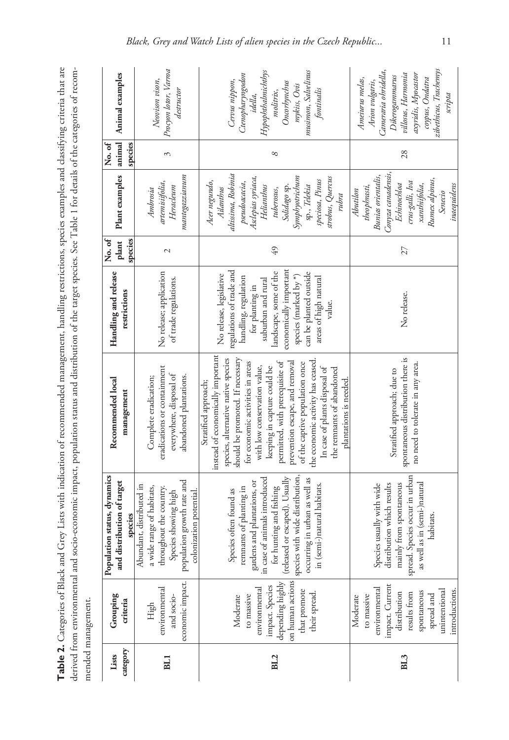| ֧֧֦֧ׅ֧ׅ֧ׅ֧ׅ֧ׅ֧֧ׅ֧֛ׅ֧֛֛֛֛֛֛֪֛֪֪֛֪֪֛֪֪֛֛֪֛֪֛֚֚֚֚֚֚֚֚֚֚֚֝֘֝֬֘֝֬֝֓֜֓֡֬֝֬֜֓֡֬֜֓֡֬֓֜֓֡֬֓֜֓֝֬֜֓֜֓֜֜<br>֧֬֕֬֟ <sup>֟</sup> ֓֟֬֟׆֧֪֪֪֪֪֪֪֪֪֪֪֟֓֓<br>aciae avamn.<br>ì<br>:<br>;<br>i<br>ist<br>T<br>i<br>at Klaciz an:<br>$\frac{1}{2}$<br>ļ<br>atamarias oi<br>URLUGULU U<br>$\subset$<br>rable? |
|------------------------------------------------------------------------------------------------------------------------------------------------------------------------------------------------------------------------------------------------------------------------------------------|
| :<br>į<br>icc<br>$\frac{1}{2}$<br>$-4$ $-4$<br>`ee<br>-<br>2010<br>20<br>e to tra<br>$\sim$<br><br>i<br>i<br>i<br>$P_{\rm eff}$ and the entire summation and                                                                                                                             |
| namenn<br>mandad mai                                                                                                                                                                                                                                                                     |

| category<br>Lists | Grouping<br>criteria                                                                                                                                       | Population status, dynamics<br>and distribution of target<br>species                                                                                                                                                                                                              | Recommended local<br>management                                                                                                                                                                                                                                                                                                                                                                                                                                            | Handling and release<br>restrictions                                                                                                                                                                                                                          | plant<br>species<br>No.of | Plant examples   animal                                                                                                                                                                                               | species<br>No.of | Animal examples                                                                                                                                                                  |
|-------------------|------------------------------------------------------------------------------------------------------------------------------------------------------------|-----------------------------------------------------------------------------------------------------------------------------------------------------------------------------------------------------------------------------------------------------------------------------------|----------------------------------------------------------------------------------------------------------------------------------------------------------------------------------------------------------------------------------------------------------------------------------------------------------------------------------------------------------------------------------------------------------------------------------------------------------------------------|---------------------------------------------------------------------------------------------------------------------------------------------------------------------------------------------------------------------------------------------------------------|---------------------------|-----------------------------------------------------------------------------------------------------------------------------------------------------------------------------------------------------------------------|------------------|----------------------------------------------------------------------------------------------------------------------------------------------------------------------------------|
| <b>BLI</b>        | economic impact.<br>environmental<br>and socio-<br>High                                                                                                    | population growth rate and<br>Abundant, distributed in<br>a wide range of habitats,<br>throughout the country.<br>Species showing high<br>colonization potential.                                                                                                                 | eradications or containment<br>everywhere, disposal of<br>abandoned plantations.<br>Complete eradication;                                                                                                                                                                                                                                                                                                                                                                  | No release; application<br>of trade regulations.                                                                                                                                                                                                              | $\sim$                    | mantegazzianum<br>artemisiifolia,<br>Heracleum<br>Ambrosia                                                                                                                                                            | 3                | Procyon lotor, Varroa<br>Neovison vison,<br>destructor                                                                                                                           |
| BL2               | on human actions<br>depending highly<br>impact. Species<br>environmental<br>that promote<br>their spread.<br>to massive<br>Moderate                        | species with wide distribution,<br>(released or escaped). Usually<br>in case of animals introduced<br>occurring in urban as well as<br>gardens and plantations, or<br>in (semi-)natural habitats.<br>for hunting and fishing<br>remnants of planting in<br>Species often found as | instead of economically important<br>species, alternative native species<br>should be promoted. If necessary<br>permitted, with prerequisite of<br>the economic activity has ceased<br>prevention escape, and removal<br>for economic activities in areas<br>of the captive population once<br>with low conservation value,<br>keeping in capture could be<br>In case of plants disposal of<br>the remnants of abandoned<br>plantations is needed.<br>Stratified approach; | regulations of trade and<br>economically important<br>landscape, some of the<br>can be planted outside<br>No release, legislative<br>species (marked by *)<br>handling, regulation<br>areas of high natural<br>suburban and rural<br>for planting in<br>value | $49$                      | altissima, Robinia<br>Symphyotrichum<br>strobus, Quercus<br>Asclepias syriaca,<br>speciosa, Pinus<br>Acer negundo,<br>pseudoacacia,<br>sp., Telekia<br>Helianthus<br>Solidago sp.<br>Ailanthus<br>tuberosus,<br>ntbra | ∞                | musimon, Salvelinus<br>Hypophthalmichthys<br>Ctenopharyngodon<br>Cervus nippon,<br>Oncorbynchus<br>mykiss, Ovis<br>fontinalis<br>molitrix,<br>idella,                            |
| BL3               | impact. Current<br>environmental<br>introductions.<br>unintentional<br>spontaneous<br>distribution<br>results from<br>spread and<br>to massive<br>Moderate | Species occur in urban<br>mainly from spontaneous<br>as in (semi-)natural<br>Species usually with wide<br>distribution which results<br>habitats.<br>as well<br>spread. S                                                                                                         | spontaneous distribution there is<br>no need to tolerate in any area.<br>Stratified approach; due to                                                                                                                                                                                                                                                                                                                                                                       | No release.                                                                                                                                                                                                                                                   | 27                        | Conyza canadensis,<br>Bunias orientalis,<br>Rumex alpinus,<br>crus-galli, Iva<br>xanthiifolia,<br>Echinochloa<br>inaequidens<br>theophrasti,<br>Abutilon<br>Senecio                                                   | 28               | zibethicus, Trachemys<br>Cameraria ohridella,<br>axyridis, Myocastor<br>villosus, Harmonia<br>Dikerogammarus<br>Ameiurus melas,<br>coypus, Ondatra<br>Arion vulgaris,<br>scripta |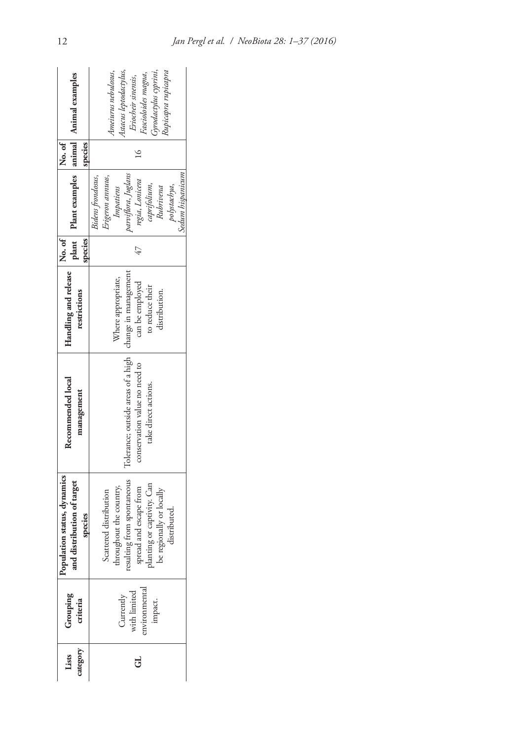| plant Plant examples   animal   Animal examples                                    | Astacus leptodactylus,<br>Gyrodactylus cyprini,<br>Rupicapra rupicapra<br>Ameiurus nebulosus,<br>Fascioloides magna,<br>Eriocheir sinensis,                                         |
|------------------------------------------------------------------------------------|-------------------------------------------------------------------------------------------------------------------------------------------------------------------------------------|
| No.of<br>species                                                                   |                                                                                                                                                                                     |
|                                                                                    | parviflora, Juglans<br>Sedum hispanicum<br>Erigeron annuus,<br>Bidens frondosus,<br>regia, Lonicera<br>aprifolium,<br>polystachya,<br>Impatiens<br>Rubrivena                        |
| No. of<br>species                                                                  |                                                                                                                                                                                     |
| Handling and release<br>restrictions                                               | Where appropriate,<br>can be employed<br>to reduce their<br>distribution.                                                                                                           |
| Recommended local<br>management                                                    | Tolerance; outside areas of a high   change in management<br>conservation value no need to<br>take direct actions.                                                                  |
| dation status, dynamics<br>Grouping Population status, dynamicrositeria<br>species | resulting from spontaneous<br>spread and escape from<br>planting or captivity. Can<br>be regionally or locally<br>throughout the country,<br>Scattered distribution<br>distributed. |
|                                                                                    | Currently<br>with limited<br>nvironmental<br>impact.                                                                                                                                |
| Lists<br>ategory                                                                   | ತ                                                                                                                                                                                   |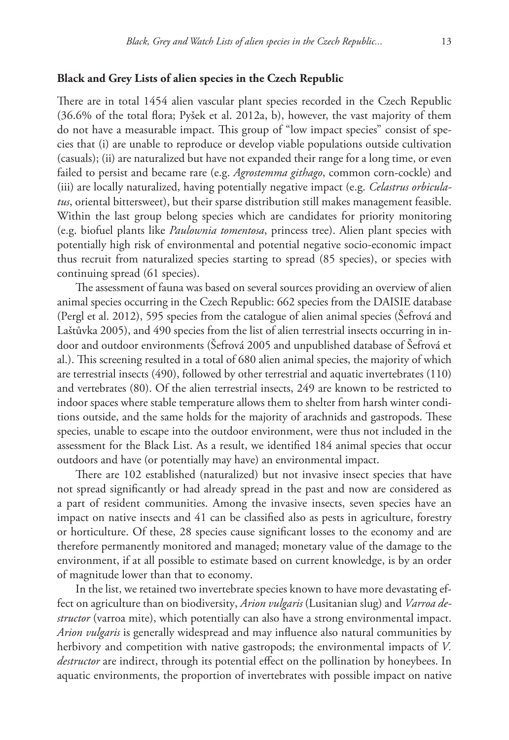### **Black and Grey Lists of alien species in the Czech Republic**

There are in total 1454 alien vascular plant species recorded in the Czech Republic (36.6% of the total flora; Pyšek et al. 2012a, b), however, the vast majority of them do not have a measurable impact. This group of "low impact species" consist of species that (i) are unable to reproduce or develop viable populations outside cultivation (casuals); (ii) are naturalized but have not expanded their range for a long time, or even failed to persist and became rare (e.g. *Agrostemma githago*, common corn-cockle) and (iii) are locally naturalized, having potentially negative impact (e.g. *Celastrus orbiculatus*, oriental bittersweet), but their sparse distribution still makes management feasible. Within the last group belong species which are candidates for priority monitoring (e.g. biofuel plants like *Paulownia tomentosa*, princess tree). Alien plant species with potentially high risk of environmental and potential negative socio-economic impact thus recruit from naturalized species starting to spread (85 species), or species with continuing spread (61 species).

The assessment of fauna was based on several sources providing an overview of alien animal species occurring in the Czech Republic: 662 species from the DAISIE database (Pergl et al. 2012), 595 species from the catalogue of alien animal species (Šefrová and Laštůvka 2005), and 490 species from the list of alien terrestrial insects occurring in indoor and outdoor environments (Šefrová 2005 and unpublished database of Šefrová et al.). This screening resulted in a total of 680 alien animal species, the majority of which are terrestrial insects (490), followed by other terrestrial and aquatic invertebrates (110) and vertebrates (80). Of the alien terrestrial insects, 249 are known to be restricted to indoor spaces where stable temperature allows them to shelter from harsh winter conditions outside, and the same holds for the majority of arachnids and gastropods. These species, unable to escape into the outdoor environment, were thus not included in the assessment for the Black List. As a result, we identified 184 animal species that occur outdoors and have (or potentially may have) an environmental impact.

There are 102 established (naturalized) but not invasive insect species that have not spread significantly or had already spread in the past and now are considered as a part of resident communities. Among the invasive insects, seven species have an impact on native insects and 41 can be classified also as pests in agriculture, forestry or horticulture. Of these, 28 species cause significant losses to the economy and are therefore permanently monitored and managed; monetary value of the damage to the environment, if at all possible to estimate based on current knowledge, is by an order of magnitude lower than that to economy.

In the list, we retained two invertebrate species known to have more devastating effect on agriculture than on biodiversity, *Arion vulgaris* (Lusitanian slug) and *Varroa destructor* (varroa mite), which potentially can also have a strong environmental impact. *Arion vulgaris* is generally widespread and may influence also natural communities by herbivory and competition with native gastropods; the environmental impacts of *V. destructor* are indirect, through its potential effect on the pollination by honeybees. In aquatic environments, the proportion of invertebrates with possible impact on native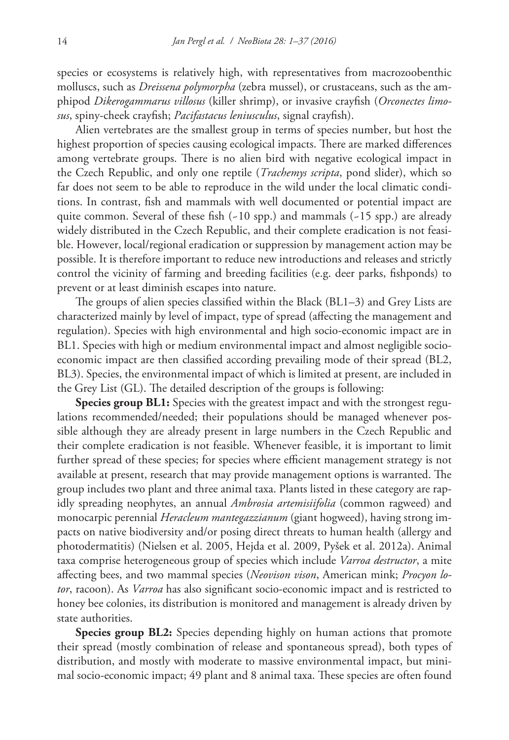species or ecosystems is relatively high, with representatives from macrozoobenthic molluscs, such as *Dreissena polymorpha* (zebra mussel), or crustaceans, such as the amphipod *Dikerogammarus villosus* (killer shrimp), or invasive crayfish (*Orconectes limosus*, spiny-cheek crayfish; *Pacifastacus leniusculus*, signal crayfish).

Alien vertebrates are the smallest group in terms of species number, but host the highest proportion of species causing ecological impacts. There are marked differences among vertebrate groups. There is no alien bird with negative ecological impact in the Czech Republic, and only one reptile (*Trachemys scripta*, pond slider), which so far does not seem to be able to reproduce in the wild under the local climatic conditions. In contrast, fish and mammals with well documented or potential impact are quite common. Several of these fish  $(-10$  spp.) and mammals  $(-15$  spp.) are already widely distributed in the Czech Republic, and their complete eradication is not feasible. However, local/regional eradication or suppression by management action may be possible. It is therefore important to reduce new introductions and releases and strictly control the vicinity of farming and breeding facilities (e.g. deer parks, fishponds) to prevent or at least diminish escapes into nature.

The groups of alien species classified within the Black (BL1–3) and Grey Lists are characterized mainly by level of impact, type of spread (affecting the management and regulation). Species with high environmental and high socio-economic impact are in BL1. Species with high or medium environmental impact and almost negligible socioeconomic impact are then classified according prevailing mode of their spread (BL2, BL3). Species, the environmental impact of which is limited at present, are included in the Grey List (GL). The detailed description of the groups is following:

**Species group BL1:** Species with the greatest impact and with the strongest regulations recommended/needed; their populations should be managed whenever possible although they are already present in large numbers in the Czech Republic and their complete eradication is not feasible. Whenever feasible, it is important to limit further spread of these species; for species where efficient management strategy is not available at present, research that may provide management options is warranted. The group includes two plant and three animal taxa. Plants listed in these category are rapidly spreading neophytes, an annual *Ambrosia artemisiifolia* (common ragweed) and monocarpic perennial *Heracleum mantegazzianum* (giant hogweed), having strong impacts on native biodiversity and/or posing direct threats to human health (allergy and photodermatitis) (Nielsen et al. 2005, Hejda et al. 2009, Pyšek et al. 2012a). Animal taxa comprise heterogeneous group of species which include *Varroa destructor*, a mite affecting bees, and two mammal species (*Neovison vison*, American mink; *Procyon lotor*, racoon). As *Varroa* has also significant socio-economic impact and is restricted to honey bee colonies, its distribution is monitored and management is already driven by state authorities.

**Species group BL2:** Species depending highly on human actions that promote their spread (mostly combination of release and spontaneous spread), both types of distribution, and mostly with moderate to massive environmental impact, but minimal socio-economic impact; 49 plant and 8 animal taxa. These species are often found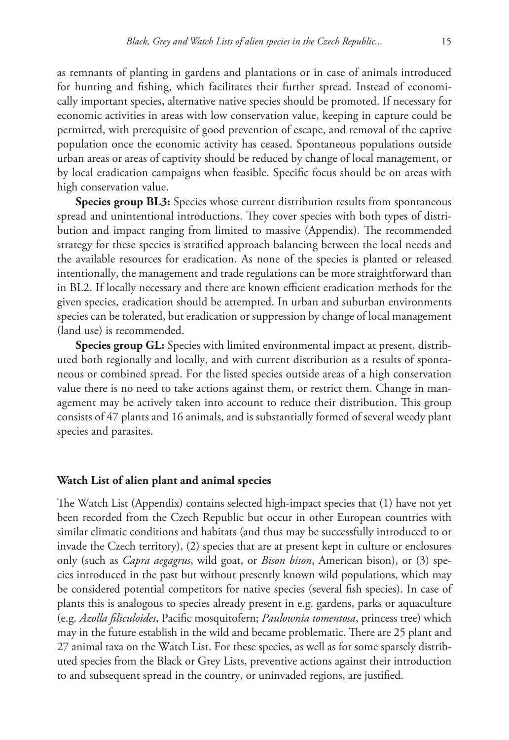as remnants of planting in gardens and plantations or in case of animals introduced for hunting and fishing, which facilitates their further spread. Instead of economically important species, alternative native species should be promoted. If necessary for economic activities in areas with low conservation value, keeping in capture could be permitted, with prerequisite of good prevention of escape, and removal of the captive population once the economic activity has ceased. Spontaneous populations outside urban areas or areas of captivity should be reduced by change of local management, or by local eradication campaigns when feasible. Specific focus should be on areas with high conservation value.

**Species group BL3:** Species whose current distribution results from spontaneous spread and unintentional introductions. They cover species with both types of distribution and impact ranging from limited to massive (Appendix). The recommended strategy for these species is stratified approach balancing between the local needs and the available resources for eradication. As none of the species is planted or released intentionally, the management and trade regulations can be more straightforward than in BL2. If locally necessary and there are known efficient eradication methods for the given species, eradication should be attempted. In urban and suburban environments species can be tolerated, but eradication or suppression by change of local management (land use) is recommended.

**Species group GL:** Species with limited environmental impact at present, distributed both regionally and locally, and with current distribution as a results of spontaneous or combined spread. For the listed species outside areas of a high conservation value there is no need to take actions against them, or restrict them. Change in management may be actively taken into account to reduce their distribution. This group consists of 47 plants and 16 animals, and is substantially formed of several weedy plant species and parasites.

### **Watch List of alien plant and animal species**

The Watch List (Appendix) contains selected high-impact species that (1) have not yet been recorded from the Czech Republic but occur in other European countries with similar climatic conditions and habitats (and thus may be successfully introduced to or invade the Czech territory), (2) species that are at present kept in culture or enclosures only (such as *Capra aegagrus*, wild goat, or *Bison bison*, American bison), or (3) species introduced in the past but without presently known wild populations, which may be considered potential competitors for native species (several fish species). In case of plants this is analogous to species already present in e.g. gardens, parks or aquaculture (e.g. *Azolla filiculoides*, Pacific mosquitofern; *Paulownia tomentosa*, princess tree) which may in the future establish in the wild and became problematic. There are 25 plant and 27 animal taxa on the Watch List. For these species, as well as for some sparsely distributed species from the Black or Grey Lists, preventive actions against their introduction to and subsequent spread in the country, or uninvaded regions, are justified.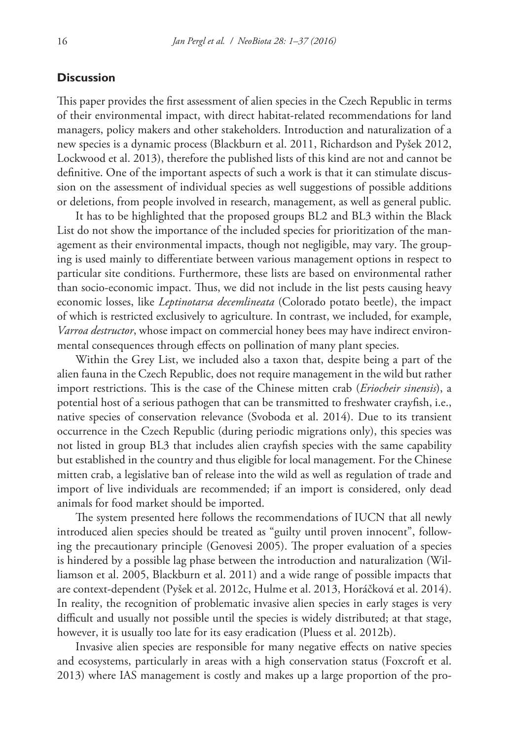### **Discussion**

This paper provides the first assessment of alien species in the Czech Republic in terms of their environmental impact, with direct habitat-related recommendations for land managers, policy makers and other stakeholders. Introduction and naturalization of a new species is a dynamic process (Blackburn et al. 2011, Richardson and Pyšek 2012, Lockwood et al. 2013), therefore the published lists of this kind are not and cannot be definitive. One of the important aspects of such a work is that it can stimulate discussion on the assessment of individual species as well suggestions of possible additions or deletions, from people involved in research, management, as well as general public.

It has to be highlighted that the proposed groups BL2 and BL3 within the Black List do not show the importance of the included species for prioritization of the management as their environmental impacts, though not negligible, may vary. The grouping is used mainly to differentiate between various management options in respect to particular site conditions. Furthermore, these lists are based on environmental rather than socio-economic impact. Thus, we did not include in the list pests causing heavy economic losses, like *Leptinotarsa decemlineata* (Colorado potato beetle), the impact of which is restricted exclusively to agriculture. In contrast, we included, for example, *Varroa destructor*, whose impact on commercial honey bees may have indirect environmental consequences through effects on pollination of many plant species.

Within the Grey List, we included also a taxon that, despite being a part of the alien fauna in the Czech Republic, does not require management in the wild but rather import restrictions. This is the case of the Chinese mitten crab (*Eriocheir sinensis*), a potential host of a serious pathogen that can be transmitted to freshwater crayfish, i.e., native species of conservation relevance (Svoboda et al. 2014). Due to its transient occurrence in the Czech Republic (during periodic migrations only), this species was not listed in group BL3 that includes alien crayfish species with the same capability but established in the country and thus eligible for local management. For the Chinese mitten crab, a legislative ban of release into the wild as well as regulation of trade and import of live individuals are recommended; if an import is considered, only dead animals for food market should be imported.

The system presented here follows the recommendations of IUCN that all newly introduced alien species should be treated as "guilty until proven innocent", following the precautionary principle (Genovesi 2005). The proper evaluation of a species is hindered by a possible lag phase between the introduction and naturalization (Williamson et al. 2005, Blackburn et al. 2011) and a wide range of possible impacts that are context-dependent (Pyšek et al. 2012c, Hulme et al. 2013, Horáčková et al. 2014). In reality, the recognition of problematic invasive alien species in early stages is very difficult and usually not possible until the species is widely distributed; at that stage, however, it is usually too late for its easy eradication (Pluess et al. 2012b).

Invasive alien species are responsible for many negative effects on native species and ecosystems, particularly in areas with a high conservation status (Foxcroft et al. 2013) where IAS management is costly and makes up a large proportion of the pro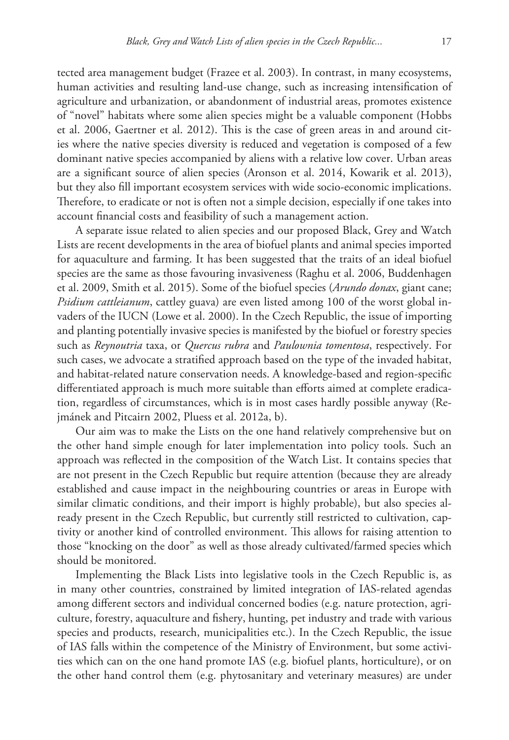tected area management budget (Frazee et al. 2003). In contrast, in many ecosystems, human activities and resulting land-use change, such as increasing intensification of agriculture and urbanization, or abandonment of industrial areas, promotes existence of "novel" habitats where some alien species might be a valuable component (Hobbs et al. 2006, Gaertner et al. 2012). This is the case of green areas in and around cities where the native species diversity is reduced and vegetation is composed of a few dominant native species accompanied by aliens with a relative low cover. Urban areas are a significant source of alien species (Aronson et al. 2014, Kowarik et al. 2013), but they also fill important ecosystem services with wide socio-economic implications. Therefore, to eradicate or not is often not a simple decision, especially if one takes into account financial costs and feasibility of such a management action.

A separate issue related to alien species and our proposed Black, Grey and Watch Lists are recent developments in the area of biofuel plants and animal species imported for aquaculture and farming. It has been suggested that the traits of an ideal biofuel species are the same as those favouring invasiveness (Raghu et al. 2006, Buddenhagen et al. 2009, Smith et al. 2015). Some of the biofuel species (*Arundo donax*, giant cane; *Psidium cattleianum*, cattley guava) are even listed among 100 of the worst global invaders of the IUCN (Lowe et al. 2000). In the Czech Republic, the issue of importing and planting potentially invasive species is manifested by the biofuel or forestry species such as *Reynoutria* taxa, or *Quercus rubra* and *Paulownia tomentosa*, respectively. For such cases, we advocate a stratified approach based on the type of the invaded habitat, and habitat-related nature conservation needs. A knowledge-based and region-specific differentiated approach is much more suitable than efforts aimed at complete eradication, regardless of circumstances, which is in most cases hardly possible anyway (Rejmánek and Pitcairn 2002, Pluess et al. 2012a, b).

Our aim was to make the Lists on the one hand relatively comprehensive but on the other hand simple enough for later implementation into policy tools. Such an approach was reflected in the composition of the Watch List. It contains species that are not present in the Czech Republic but require attention (because they are already established and cause impact in the neighbouring countries or areas in Europe with similar climatic conditions, and their import is highly probable), but also species already present in the Czech Republic, but currently still restricted to cultivation, captivity or another kind of controlled environment. This allows for raising attention to those "knocking on the door" as well as those already cultivated/farmed species which should be monitored.

Implementing the Black Lists into legislative tools in the Czech Republic is, as in many other countries, constrained by limited integration of IAS-related agendas among different sectors and individual concerned bodies (e.g. nature protection, agriculture, forestry, aquaculture and fishery, hunting, pet industry and trade with various species and products, research, municipalities etc.). In the Czech Republic, the issue of IAS falls within the competence of the Ministry of Environment, but some activities which can on the one hand promote IAS (e.g. biofuel plants, horticulture), or on the other hand control them (e.g. phytosanitary and veterinary measures) are under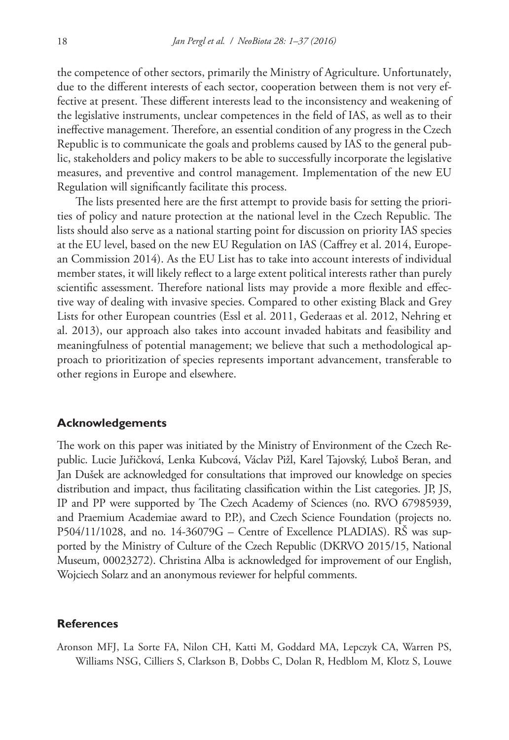the competence of other sectors, primarily the Ministry of Agriculture. Unfortunately, due to the different interests of each sector, cooperation between them is not very effective at present. These different interests lead to the inconsistency and weakening of the legislative instruments, unclear competences in the field of IAS, as well as to their ineffective management. Therefore, an essential condition of any progress in the Czech Republic is to communicate the goals and problems caused by IAS to the general public, stakeholders and policy makers to be able to successfully incorporate the legislative measures, and preventive and control management. Implementation of the new EU Regulation will significantly facilitate this process.

The lists presented here are the first attempt to provide basis for setting the priorities of policy and nature protection at the national level in the Czech Republic. The lists should also serve as a national starting point for discussion on priority IAS species at the EU level, based on the new EU Regulation on IAS (Caffrey et al. 2014, European Commission 2014). As the EU List has to take into account interests of individual member states, it will likely reflect to a large extent political interests rather than purely scientific assessment. Therefore national lists may provide a more flexible and effective way of dealing with invasive species. Compared to other existing Black and Grey Lists for other European countries (Essl et al. 2011, Gederaas et al. 2012, Nehring et al. 2013), our approach also takes into account invaded habitats and feasibility and meaningfulness of potential management; we believe that such a methodological approach to prioritization of species represents important advancement, transferable to other regions in Europe and elsewhere.

### **Acknowledgements**

The work on this paper was initiated by the Ministry of Environment of the Czech Republic. Lucie Juřičková, Lenka Kubcová, Václav Pižl, Karel Tajovský, Luboš Beran, and Jan Dušek are acknowledged for consultations that improved our knowledge on species distribution and impact, thus facilitating classification within the List categories. JP, JS, IP and PP were supported by The Czech Academy of Sciences (no. RVO 67985939, and Praemium Academiae award to P.P.), and Czech Science Foundation (projects no. P504/11/1028, and no. 14-36079G – Centre of Excellence PLADIAS). RŠ was supported by the Ministry of Culture of the Czech Republic (DKRVO 2015/15, National Museum, 00023272). Christina Alba is acknowledged for improvement of our English, Wojciech Solarz and an anonymous reviewer for helpful comments.

### **References**

Aronson MFJ, La Sorte FA, Nilon CH, Katti M, Goddard MA, Lepczyk CA, Warren PS, Williams NSG, Cilliers S, Clarkson B, Dobbs C, Dolan R, Hedblom M, Klotz S, Louwe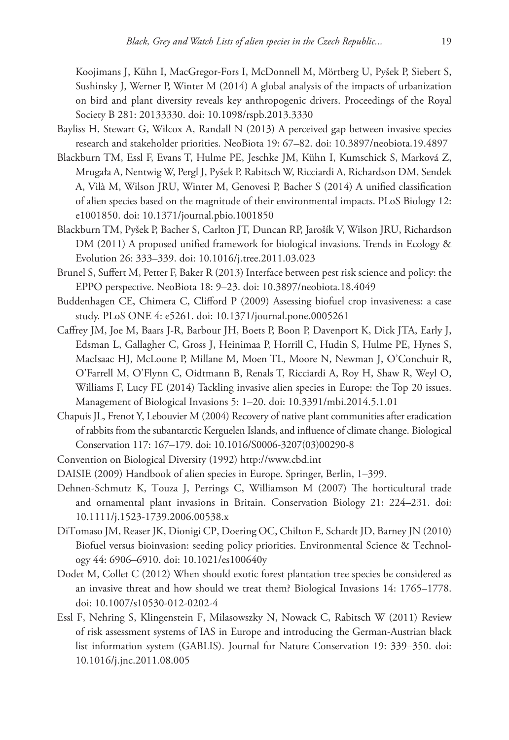Koojimans J, Kühn I, MacGregor-Fors I, McDonnell M, Mörtberg U, Pyšek P, Siebert S, Sushinsky J, Werner P, Winter M (2014) A global analysis of the impacts of urbanization on bird and plant diversity reveals key anthropogenic drivers. Proceedings of the Royal Society B 281: 20133330. [doi: 10.1098/rspb.2013.3330](http://dx.doi.org/10.1098/rspb.2013.3330)

- Bayliss H, Stewart G, Wilcox A, Randall N (2013) A perceived gap between invasive species research and stakeholder priorities. NeoBiota 19: 67–82. [doi: 10.3897/neobiota.19.4897](http://dx.doi.org/10.3897/neobiota.19.4897)
- Blackburn TM, Essl F, Evans T, Hulme PE, Jeschke JM, Kühn I, Kumschick S, Marková Z, Mrugała A, Nentwig W, Pergl J, Pyšek P, Rabitsch W, Ricciardi A, Richardson DM, Sendek A, Vilà M, Wilson JRU, Winter M, Genovesi P, Bacher S (2014) A unified classification of alien species based on the magnitude of their environmental impacts. PLoS Biology 12: e1001850. [doi: 10.1371/journal.pbio.1001850](http://dx.doi.org/10.1371/journal.pbio.1001850)
- Blackburn TM, Pyšek P, Bacher S, Carlton JT, Duncan RP, Jarošík V, Wilson JRU, Richardson DM (2011) A proposed unified framework for biological invasions. Trends in Ecology & Evolution 26: 333–339. [doi: 10.1016/j.tree.2011.03.023](http://dx.doi.org/10.1016/j.tree.2011.03.023)
- Brunel S, Suffert M, Petter F, Baker R (2013) Interface between pest risk science and policy: the EPPO perspective. NeoBiota 18: 9–23. [doi: 10.3897/neobiota.18.4049](http://dx.doi.org/10.3897/neobiota.18.4049)
- Buddenhagen CE, Chimera C, Clifford P (2009) Assessing biofuel crop invasiveness: a case study. PLoS ONE 4: e5261. [doi: 10.1371/journal.pone.0005261](http://dx.doi.org/10.1371/journal.pone.0005261)
- Caffrey JM, Joe M, Baars J-R, Barbour JH, Boets P, Boon P, Davenport K, Dick JTA, Early J, Edsman L, Gallagher C, Gross J, Heinimaa P, Horrill C, Hudin S, Hulme PE, Hynes S, MacIsaac HJ, McLoone P, Millane M, Moen TL, Moore N, Newman J, O'Conchuir R, O'Farrell M, O'Flynn C, Oidtmann B, Renals T, Ricciardi A, Roy H, Shaw R, Weyl O, Williams F, Lucy FE (2014) Tackling invasive alien species in Europe: the Top 20 issues. Management of Biological Invasions 5: 1–20. [doi: 10.3391/mbi.2014.5.1.01](http://dx.doi.org/10.3391/mbi.2014.5.1.01)
- Chapuis JL, Frenot Y, Lebouvier M (2004) Recovery of native plant communities after eradication of rabbits from the subantarctic Kerguelen Islands, and influence of climate change. Biological Conservation 117: 167–179. [doi: 10.1016/S0006-3207\(03\)00290-8](http://dx.doi.org/10.1016/S0006-3207(03)00290-8)
- Convention on Biological Diversity (1992)<http://www.cbd.int>
- DAISIE (2009) Handbook of alien species in Europe. Springer, Berlin, 1–399.
- Dehnen-Schmutz K, Touza J, Perrings C, Williamson M (2007) The horticultural trade and ornamental plant invasions in Britain. Conservation Biology 21: 224–231. [doi:](http://dx.doi.org/10.1111/j.1523-1739.2006.00538.x) [10.1111/j.1523-1739.2006.00538.x](http://dx.doi.org/10.1111/j.1523-1739.2006.00538.x)
- DiTomaso JM, Reaser JK, Dionigi CP, Doering OC, Chilton E, Schardt JD, Barney JN (2010) Biofuel versus bioinvasion: seeding policy priorities. Environmental Science & Technology 44: 6906–6910. [doi: 10.1021/es100640y](http://dx.doi.org/10.1021/es100640y)
- Dodet M, Collet C (2012) When should exotic forest plantation tree species be considered as an invasive threat and how should we treat them? Biological Invasions 14: 1765–1778. [doi: 10.1007/s10530-012-0202-4](http://dx.doi.org/10.1007/s10530-012-0202-4)
- Essl F, Nehring S, Klingenstein F, Milasowszky N, Nowack C, Rabitsch W (2011) Review of risk assessment systems of IAS in Europe and introducing the German-Austrian black list information system (GABLIS). Journal for Nature Conservation 19: 339–350. [doi:](http://dx.doi.org/10.1016/j.jnc.2011.08.005) [10.1016/j.jnc.2011.08.005](http://dx.doi.org/10.1016/j.jnc.2011.08.005)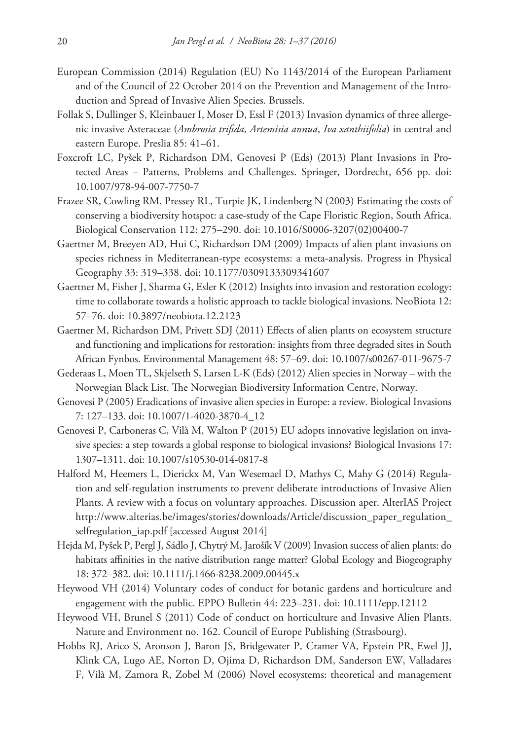- European Commission (2014) Regulation (EU) No 1143/2014 of the European Parliament and of the Council of 22 October 2014 on the Prevention and Management of the Introduction and Spread of Invasive Alien Species. Brussels.
- Follak S, Dullinger S, Kleinbauer I, Moser D, Essl F (2013) Invasion dynamics of three allergenic invasive Asteraceae (*Ambrosia trifida*, *Artemisia annua*, *Iva xanthiifolia*) in central and eastern Europe. Preslia 85: 41–61.
- Foxcroft LC, Pyšek P, Richardson DM, Genovesi P (Eds) (2013) Plant Invasions in Protected Areas – Patterns, Problems and Challenges. Springer, Dordrecht, 656 pp. [doi:](http://dx.doi.org/10.1007/978-94-007-7750-7) [10.1007/978-94-007-7750-7](http://dx.doi.org/10.1007/978-94-007-7750-7)
- Frazee SR, Cowling RM, Pressey RL, Turpie JK, Lindenberg N (2003) Estimating the costs of conserving a biodiversity hotspot: a case-study of the Cape Floristic Region, South Africa. Biological Conservation 112: 275–290. [doi: 10.1016/S0006-3207\(02\)00400-7](http://dx.doi.org/10.1016/S0006-3207(02)00400-7)
- Gaertner M, Breeyen AD, Hui C, Richardson DM (2009) Impacts of alien plant invasions on species richness in Mediterranean-type ecosystems: a meta-analysis. Progress in Physical Geography 33: 319–338. [doi: 10.1177/0309133309341607](http://dx.doi.org/10.1177/0309133309341607)
- Gaertner M, Fisher J, Sharma G, Esler K (2012) Insights into invasion and restoration ecology: time to collaborate towards a holistic approach to tackle biological invasions. NeoBiota 12: 57–76. [doi: 10.3897/neobiota.12.2123](http://dx.doi.org/10.3897/neobiota.12.2123)
- Gaertner M, Richardson DM, Privett SDJ (2011) Effects of alien plants on ecosystem structure and functioning and implications for restoration: insights from three degraded sites in South African Fynbos. Environmental Management 48: 57–69. [doi: 10.1007/s00267-011-9675-7](http://dx.doi.org/10.1007/s00267-011-9675-7)
- Gederaas L, Moen TL, Skjelseth S, Larsen L-K (Eds) (2012) Alien species in Norway with the Norwegian Black List. The Norwegian Biodiversity Information Centre, Norway.
- Genovesi P (2005) Eradications of invasive alien species in Europe: a review. Biological Invasions 7: 127–133. [doi: 10.1007/1-4020-3870-4\\_12](http://dx.doi.org/10.1007/1-4020-3870-4_12)
- Genovesi P, Carboneras C, Vilà M, Walton P (2015) EU adopts innovative legislation on invasive species: a step towards a global response to biological invasions? Biological Invasions 17: 1307–1311. [doi: 10.1007/s10530-014-0817-8](http://dx.doi.org/10.1007/s10530-014-0817-8)
- Halford M, Heemers L, Dierickx M, Van Wesemael D, Mathys C, Mahy G (2014) Regulation and self-regulation instruments to prevent deliberate introductions of Invasive Alien Plants. A review with a focus on voluntary approaches. Discussion aper. AlterIAS Project [http://www.alterias.be/images/stories/downloads/Article/discussion\\_paper\\_regulation\\_](http://www.alterias.be/images/stories/downloads/Article/discussion_paper_regulation_selfregulation_iap.pdf) [selfregulation\\_iap.pdf](http://www.alterias.be/images/stories/downloads/Article/discussion_paper_regulation_selfregulation_iap.pdf) [accessed August 2014]
- Hejda M, Pyšek P, Pergl J, Sádlo J, Chytrý M, Jarošík V (2009) Invasion success of alien plants: do habitats affinities in the native distribution range matter? Global Ecology and Biogeography 18: 372–382. [doi: 10.1111/j.1466-8238.2009.00445.x](http://dx.doi.org/10.1111/j.1466-8238.2009.00445.x)
- Heywood VH (2014) Voluntary codes of conduct for botanic gardens and horticulture and engagement with the public. EPPO Bulletin 44: 223–231. [doi: 10.1111/epp.12112](http://dx.doi.org/10.1111/epp.12112)
- Heywood VH, Brunel S (2011) Code of conduct on horticulture and Invasive Alien Plants. Nature and Environment no. 162. Council of Europe Publishing (Strasbourg).
- Hobbs RJ, Arico S, Aronson J, Baron JS, Bridgewater P, Cramer VA, Epstein PR, Ewel JJ, Klink CA, Lugo AE, Norton D, Ojima D, Richardson DM, Sanderson EW, Valladares F, Vilà M, Zamora R, Zobel M (2006) Novel ecosystems: theoretical and management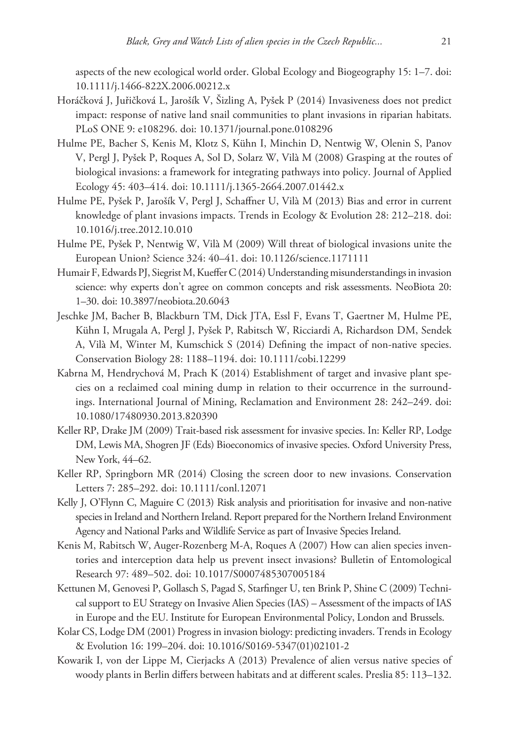aspects of the new ecological world order. Global Ecology and Biogeography 15: 1–7. [doi:](http://dx.doi.org/10.1111/j.1466-822X.2006.00212.x) [10.1111/j.1466-822X.2006.00212.x](http://dx.doi.org/10.1111/j.1466-822X.2006.00212.x)

- Horáčková J, Juřičková L, Jarošík V, Šizling A, Pyšek P (2014) Invasiveness does not predict impact: response of native land snail communities to plant invasions in riparian habitats. PLoS ONE 9: e108296. [doi: 10.1371/journal.pone.0108296](http://dx.doi.org/10.1371/journal.pone.0108296)
- Hulme PE, Bacher S, Kenis M, Klotz S, Kühn I, Minchin D, Nentwig W, Olenin S, Panov V, Pergl J, Pyšek P, Roques A, Sol D, Solarz W, Vilà M (2008) Grasping at the routes of biological invasions: a framework for integrating pathways into policy. Journal of Applied Ecology 45: 403–414. [doi: 10.1111/j.1365-2664.2007.01442.x](http://dx.doi.org/10.1111/j.1365-2664.2007.01442.x)
- Hulme PE, Pyšek P, Jarošík V, Pergl J, Schaffner U, Vilà M (2013) Bias and error in current knowledge of plant invasions impacts. Trends in Ecology & Evolution 28: 212–218. [doi:](http://dx.doi.org/10.1016/j.tree.2012.10.010) [10.1016/j.tree.2012.10.010](http://dx.doi.org/10.1016/j.tree.2012.10.010)
- Hulme PE, Pyšek P, Nentwig W, Vilà M (2009) Will threat of biological invasions unite the European Union? Science 324: 40–41. [doi: 10.1126/science.1171111](http://dx.doi.org/10.1126/science.1171111)
- Humair F, Edwards PJ, Siegrist M, Kueffer C (2014) Understanding misunderstandings in invasion science: why experts don't agree on common concepts and risk assessments. NeoBiota 20: 1–30. [doi: 10.3897/neobiota.20.6043](http://dx.doi.org/10.3897/neobiota.20.6043)
- Jeschke JM, Bacher B, Blackburn TM, Dick JTA, Essl F, Evans T, Gaertner M, Hulme PE, Kühn I, Mrugala A, Pergl J, Pyšek P, Rabitsch W, Ricciardi A, Richardson DM, Sendek A, Vilà M, Winter M, Kumschick S (2014) Defining the impact of non-native species. Conservation Biology 28: 1188–1194. [doi: 10.1111/cobi.12299](http://dx.doi.org/10.1111/cobi.12299)
- Kabrna M, Hendrychová M, Prach K (2014) Establishment of target and invasive plant species on a reclaimed coal mining dump in relation to their occurrence in the surroundings. International Journal of Mining, Reclamation and Environment 28: 242–249. [doi:](http://dx.doi.org/10.1080/17480930.2013.820390) [10.1080/17480930.2013.820390](http://dx.doi.org/10.1080/17480930.2013.820390)
- Keller RP, Drake JM (2009) Trait-based risk assessment for invasive species. In: Keller RP, Lodge DM, Lewis MA, Shogren JF (Eds) Bioeconomics of invasive species. Oxford University Press, New York, 44–62.
- Keller RP, Springborn MR (2014) Closing the screen door to new invasions. Conservation Letters 7: 285–292. [doi: 10.1111/conl.12071](http://dx.doi.org/10.1111/conl.12071)
- Kelly J, O'Flynn C, Maguire C (2013) Risk analysis and prioritisation for invasive and non-native species in Ireland and Northern Ireland. Report prepared for the Northern Ireland Environment Agency and National Parks and Wildlife Service as part of Invasive Species Ireland.
- Kenis M, Rabitsch W, Auger-Rozenberg M-A, Roques A (2007) How can alien species inventories and interception data help us prevent insect invasions? Bulletin of Entomological Research 97: 489–502. [doi: 10.1017/S0007485307005184](http://dx.doi.org/10.1017/S0007485307005184)
- Kettunen M, Genovesi P, Gollasch S, Pagad S, Starfinger U, ten Brink P, Shine C (2009) Technical support to EU Strategy on Invasive Alien Species (IAS) – Assessment of the impacts of IAS in Europe and the EU. Institute for European Environmental Policy, London and Brussels.
- Kolar CS, Lodge DM (2001) Progress in invasion biology: predicting invaders. Trends in Ecology & Evolution 16: 199–204. [doi: 10.1016/S0169-5347\(01\)02101-2](http://dx.doi.org/10.1016/S0169-5347(01)02101-2)
- Kowarik I, von der Lippe M, Cierjacks A (2013) Prevalence of alien versus native species of woody plants in Berlin differs between habitats and at different scales. Preslia 85: 113–132.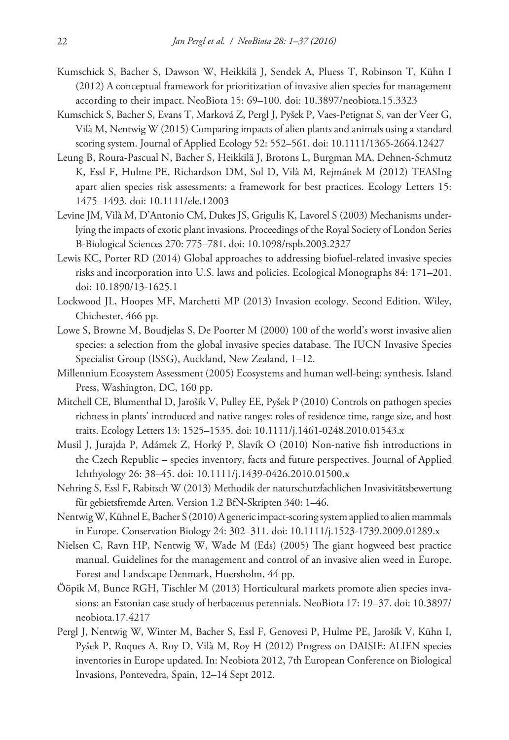- Kumschick S, Bacher S, Dawson W, Heikkilä J, Sendek A, Pluess T, Robinson T, Kühn I (2012) A conceptual framework for prioritization of invasive alien species for management according to their impact. NeoBiota 15: 69–100. [doi: 10.3897/neobiota.15.3323](http://dx.doi.org/10.3897/neobiota.15.3323)
- Kumschick S, Bacher S, Evans T, Marková Z, Pergl J, Pyšek P, Vaes-Petignat S, van der Veer G, Vilà M, Nentwig W (2015) Comparing impacts of alien plants and animals using a standard scoring system. Journal of Applied Ecology 52: 552–561. [doi: 10.1111/1365-2664.12427](http://dx.doi.org/10.1111/1365-2664.12427)
- Leung B, Roura-Pascual N, Bacher S, Heikkilä J, Brotons L, Burgman MA, Dehnen-Schmutz K, Essl F, Hulme PE, Richardson DM, Sol D, Vilà M, Rejmánek M (2012) TEASIng apart alien species risk assessments: a framework for best practices. Ecology Letters 15: 1475–1493. [doi: 10.1111/ele.12003](http://dx.doi.org/10.1111/ele.12003)
- Levine JM, Vilà M, D'Antonio CM, Dukes JS, Grigulis K, Lavorel S (2003) Mechanisms underlying the impacts of exotic plant invasions. Proceedings of the Royal Society of London Series B-Biological Sciences 270: 775–781. [doi: 10.1098/rspb.2003.2327](http://dx.doi.org/10.1098/rspb.2003.2327)
- Lewis KC, Porter RD (2014) Global approaches to addressing biofuel-related invasive species risks and incorporation into U.S. laws and policies. Ecological Monographs 84: 171–201. [doi: 10.1890/13-1625.1](http://dx.doi.org/10.1890/13-1625.1)
- Lockwood JL, Hoopes MF, Marchetti MP (2013) Invasion ecology. Second Edition. Wiley, Chichester, 466 pp.
- Lowe S, Browne M, Boudjelas S, De Poorter M (2000) 100 of the world's worst invasive alien species: a selection from the global invasive species database. The IUCN Invasive Species Specialist Group (ISSG), Auckland, New Zealand, 1–12.
- Millennium Ecosystem Assessment (2005) Ecosystems and human well-being: synthesis. Island Press, Washington, DC, 160 pp.
- Mitchell CE, Blumenthal D, Jarošík V, Pulley EE, Pyšek P (2010) Controls on pathogen species richness in plants' introduced and native ranges: roles of residence time, range size, and host traits. Ecology Letters 13: 1525–1535. [doi: 10.1111/j.1461-0248.2010.01543.x](http://dx.doi.org/10.1111/j.1461-0248.2010.01543.x)
- Musil J, Jurajda P, Adámek Z, Horký P, Slavík O (2010) Non-native fish introductions in the Czech Republic – species inventory, facts and future perspectives. Journal of Applied Ichthyology 26: 38–45. [doi: 10.1111/j.1439-0426.2010.01500.x](http://dx.doi.org/10.1111/j.1439-0426.2010.01500.x)
- Nehring S, Essl F, Rabitsch W (2013) Methodik der naturschutzfachlichen Invasivitätsbewertung für gebietsfremde Arten. Version 1.2 BfN-Skripten 340: 1–46.
- Nentwig W, Kühnel E, Bacher S (2010) A generic impact-scoring system applied to alien mammals in Europe. Conservation Biology 24: 302–311. [doi: 10.1111/j.1523-1739.2009.01289.x](http://dx.doi.org/10.1111/j.1523-1739.2009.01289.x)
- Nielsen C, Ravn HP, Nentwig W, Wade M (Eds) (2005) The giant hogweed best practice manual. Guidelines for the management and control of an invasive alien weed in Europe. Forest and Landscape Denmark, Hoersholm, 44 pp.
- Ööpik M, Bunce RGH, Tischler M (2013) Horticultural markets promote alien species invasions: an Estonian case study of herbaceous perennials. NeoBiota 17: 19–37. [doi: 10.3897/](http://dx.doi.org/10.3897/neobiota.17.4217) [neobiota.17.4217](http://dx.doi.org/10.3897/neobiota.17.4217)
- Pergl J, Nentwig W, Winter M, Bacher S, Essl F, Genovesi P, Hulme PE, Jarošík V, Kühn I, Pyšek P, Roques A, Roy D, Vilà M, Roy H (2012) Progress on DAISIE: ALIEN species inventories in Europe updated. In: Neobiota 2012, 7th European Conference on Biological Invasions, Pontevedra, Spain, 12–14 Sept 2012.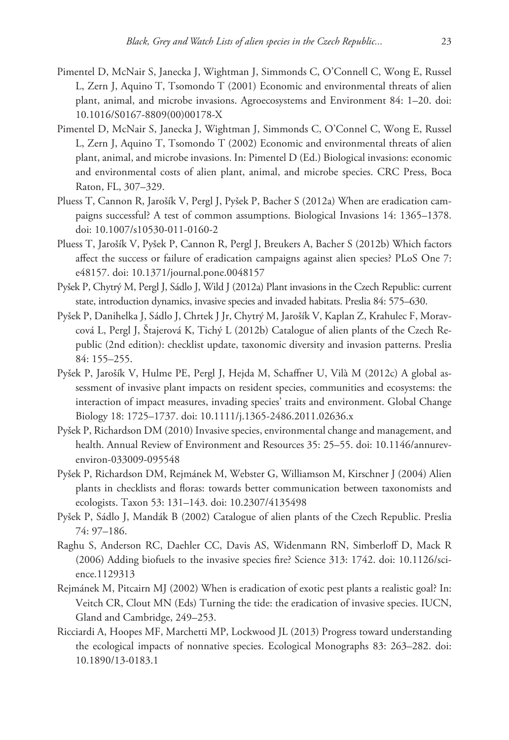- Pimentel D, McNair S, Janecka J, Wightman J, Simmonds C, O'Connell C, Wong E, Russel L, Zern J, Aquino T, Tsomondo T (2001) Economic and environmental threats of alien plant, animal, and microbe invasions. Agroecosystems and Environment 84: 1–20. [doi:](http://dx.doi.org/10.1016/S0167-8809(00)00178-X) [10.1016/S0167-8809\(00\)00178-X](http://dx.doi.org/10.1016/S0167-8809(00)00178-X)
- Pimentel D, McNair S, Janecka J, Wightman J, Simmonds C, O'Connel C, Wong E, Russel L, Zern J, Aquino T, Tsomondo T (2002) Economic and environmental threats of alien plant, animal, and microbe invasions. In: Pimentel D (Ed.) Biological invasions: economic and environmental costs of alien plant, animal, and microbe species. CRC Press, Boca Raton, FL, 307–329.
- Pluess T, Cannon R, Jarošík V, Pergl J, Pyšek P, Bacher S (2012a) When are eradication campaigns successful? A test of common assumptions. Biological Invasions 14: 1365–1378. [doi: 10.1007/s10530-011-0160-2](http://dx.doi.org/10.1007/s10530-011-0160-2)
- Pluess T, Jarošík V, Pyšek P, Cannon R, Pergl J, Breukers A, Bacher S (2012b) Which factors affect the success or failure of eradication campaigns against alien species? PLoS One 7: e48157. [doi: 10.1371/journal.pone.0048157](http://dx.doi.org/10.1371/journal.pone.0048157)
- Pyšek P, Chytrý M, Pergl J, Sádlo J, Wild J (2012a) Plant invasions in the Czech Republic: current state, introduction dynamics, invasive species and invaded habitats. Preslia 84: 575–630.
- Pyšek P, Danihelka J, Sádlo J, Chrtek J Jr, Chytrý M, Jarošík V, Kaplan Z, Krahulec F, Moravcová L, Pergl J, Štajerová K, Tichý L (2012b) Catalogue of alien plants of the Czech Republic (2nd edition): checklist update, taxonomic diversity and invasion patterns. Preslia 84: 155–255.
- Pyšek P, Jarošík V, Hulme PE, Pergl J, Hejda M, Schaffner U, Vilà M (2012c) A global assessment of invasive plant impacts on resident species, communities and ecosystems: the interaction of impact measures, invading species' traits and environment. Global Change Biology 18: 1725–1737. [doi: 10.1111/j.1365-2486.2011.02636.x](http://dx.doi.org/10.1111/j.1365-2486.2011.02636.x)
- Pyšek P, Richardson DM (2010) Invasive species, environmental change and management, and health. Annual Review of Environment and Resources 35: 25–55. [doi: 10.1146/annurev](http://dx.doi.org/10.1146/annurev-environ-033009-095548)[environ-033009-095548](http://dx.doi.org/10.1146/annurev-environ-033009-095548)
- Pyšek P, Richardson DM, Rejmánek M, Webster G, Williamson M, Kirschner J (2004) Alien plants in checklists and floras: towards better communication between taxonomists and ecologists. Taxon 53: 131–143. [doi: 10.2307/4135498](http://dx.doi.org/10.2307/4135498)
- Pyšek P, Sádlo J, Mandák B (2002) Catalogue of alien plants of the Czech Republic. Preslia 74: 97–186.
- Raghu S, Anderson RC, Daehler CC, Davis AS, Widenmann RN, Simberloff D, Mack R (2006) Adding biofuels to the invasive species fire? Science 313: 1742. [doi: 10.1126/sci](http://dx.doi.org/10.1126/science.1129313)[ence.1129313](http://dx.doi.org/10.1126/science.1129313)
- Rejmánek M, Pitcairn MJ (2002) When is eradication of exotic pest plants a realistic goal? In: Veitch CR, Clout MN (Eds) Turning the tide: the eradication of invasive species. IUCN, Gland and Cambridge, 249–253.
- Ricciardi A, Hoopes MF, Marchetti MP, Lockwood JL (2013) Progress toward understanding the ecological impacts of nonnative species. Ecological Monographs 83: 263–282. [doi:](http://dx.doi.org/10.1890/13-0183.1) [10.1890/13-0183.1](http://dx.doi.org/10.1890/13-0183.1)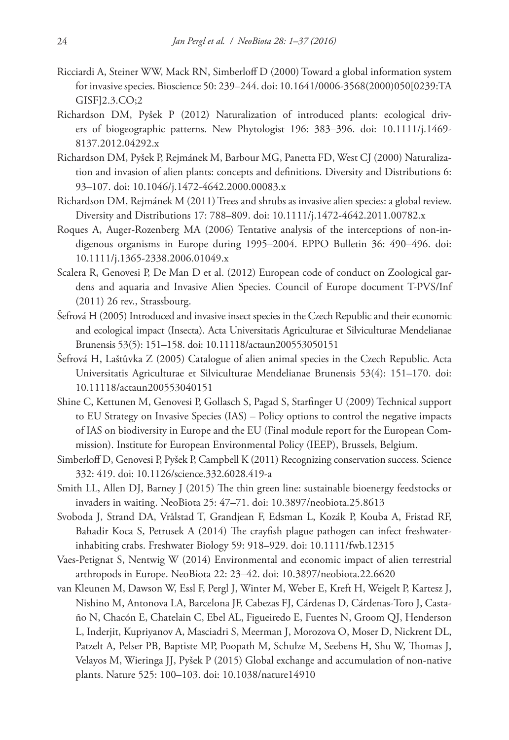- Ricciardi A, Steiner WW, Mack RN, Simberloff D (2000) Toward a global information system for invasive species. Bioscience 50: 239–244. [doi: 10.1641/0006-3568\(2000\)050\[0239:TA](http://dx.doi.org/10.1641/0006-3568(2000)050%5B0239:TAGISF%5D2.3.CO;2) [GISF\]2.3.CO;2](http://dx.doi.org/10.1641/0006-3568(2000)050%5B0239:TAGISF%5D2.3.CO;2)
- Richardson DM, Pyšek P (2012) Naturalization of introduced plants: ecological drivers of biogeographic patterns. New Phytologist 196: 383–396. [doi: 10.1111/j.1469-](http://dx.doi.org/10.1111/j.1469-8137.2012.04292.x) [8137.2012.04292.x](http://dx.doi.org/10.1111/j.1469-8137.2012.04292.x)
- Richardson DM, Pyšek P, Rejmánek M, Barbour MG, Panetta FD, West CJ (2000) Naturalization and invasion of alien plants: concepts and definitions. Diversity and Distributions 6: 93–107. [doi: 10.1046/j.1472-4642.2000.00083.x](http://dx.doi.org/10.1046/j.1472-4642.2000.00083.x)
- Richardson DM, Rejmánek M (2011) Trees and shrubs as invasive alien species: a global review. Diversity and Distributions 17: 788–809. [doi: 10.1111/j.1472-4642.2011.00782.x](http://dx.doi.org/10.1111/j.1472-4642.2011.00782.x)
- Roques A, Auger-Rozenberg MA (2006) Tentative analysis of the interceptions of non-indigenous organisms in Europe during 1995–2004. EPPO Bulletin 36: 490–496. [doi:](http://dx.doi.org/10.1111/j.1365-2338.2006.01049.x) [10.1111/j.1365-2338.2006.01049.x](http://dx.doi.org/10.1111/j.1365-2338.2006.01049.x)
- Scalera R, Genovesi P, De Man D et al. (2012) European code of conduct on Zoological gardens and aquaria and Invasive Alien Species. Council of Europe document T-PVS/Inf (2011) 26 rev., Strassbourg.
- Šefrová H (2005) Introduced and invasive insect species in the Czech Republic and their economic and ecological impact (Insecta). Acta Universitatis Agriculturae et Silviculturae Mendelianae Brunensis 53(5): 151–158. [doi: 10.11118/actaun200553050151](http://dx.doi.org/10.11118/actaun200553050151)
- Šefrová H, Laštůvka Z (2005) Catalogue of alien animal species in the Czech Republic. Acta Universitatis Agriculturae et Silviculturae Mendelianae Brunensis 53(4): 151–170. [doi:](http://dx.doi.org/10.11118/actaun200553040151) [10.11118/actaun200553040151](http://dx.doi.org/10.11118/actaun200553040151)
- Shine C, Kettunen M, Genovesi P, Gollasch S, Pagad S, Starfinger U (2009) Technical support to EU Strategy on Invasive Species (IAS) – Policy options to control the negative impacts of IAS on biodiversity in Europe and the EU (Final module report for the European Commission). Institute for European Environmental Policy (IEEP), Brussels, Belgium.
- Simberloff D, Genovesi P, Pyšek P, Campbell K (2011) Recognizing conservation success. Science 332: 419. [doi: 10.1126/science.332.6028.419-a](http://dx.doi.org/10.1126/science.332.6028.419-a)
- Smith LL, Allen DJ, Barney J (2015) The thin green line: sustainable bioenergy feedstocks or invaders in waiting. NeoBiota 25: 47–71. [doi: 10.3897/neobiota.25.8613](http://dx.doi.org/10.3897/neobiota.25.8613)
- Svoboda J, Strand DA, Vrålstad T, Grandjean F, Edsman L, Kozák P, Kouba A, Fristad RF, Bahadir Koca S, Petrusek A (2014) The crayfish plague pathogen can infect freshwaterinhabiting crabs. Freshwater Biology 59: 918–929. [doi: 10.1111/fwb.12315](http://dx.doi.org/10.1111/fwb.12315)
- Vaes-Petignat S, Nentwig W (2014) Environmental and economic impact of alien terrestrial arthropods in Europe. NeoBiota 22: 23–42. [doi: 10.3897/neobiota.22.6620](http://dx.doi.org/10.3897/neobiota.22.6620)
- van Kleunen M, Dawson W, Essl F, Pergl J, Winter M, Weber E, Kreft H, Weigelt P, Kartesz J, Nishino M, Antonova LA, Barcelona JF, Cabezas FJ, Cárdenas D, Cárdenas-Toro J, Castaño N, Chacón E, Chatelain C, Ebel AL, Figueiredo E, Fuentes N, Groom QJ, Henderson L, Inderjit, Kupriyanov A, Masciadri S, Meerman J, Morozova O, Moser D, Nickrent DL, Patzelt A, Pelser PB, Baptiste MP, Poopath M, Schulze M, Seebens H, Shu W, Thomas J, Velayos M, Wieringa JJ, Pyšek P (2015) Global exchange and accumulation of non-native plants. Nature 525: 100–103. [doi: 10.1038/nature14910](http://dx.doi.org/10.1038/nature14910)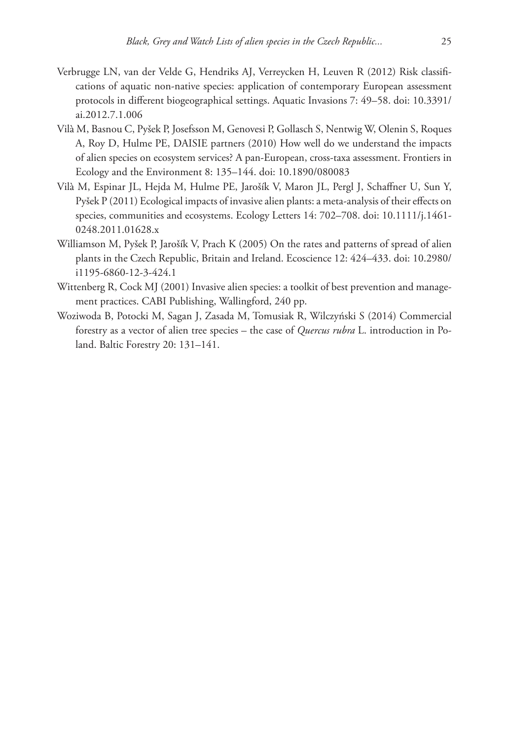- Verbrugge LN, van der Velde G, Hendriks AJ, Verreycken H, Leuven R (2012) Risk classifications of aquatic non-native species: application of contemporary European assessment protocols in different biogeographical settings. Aquatic Invasions 7: 49–58. [doi: 10.3391/](http://dx.doi.org/10.3391/ai.2012.7.1.006) [ai.2012.7.1.006](http://dx.doi.org/10.3391/ai.2012.7.1.006)
- Vilà M, Basnou C, Pyšek P, Josefsson M, Genovesi P, Gollasch S, Nentwig W, Olenin S, Roques A, Roy D, Hulme PE, DAISIE partners (2010) How well do we understand the impacts of alien species on ecosystem services? A pan-European, cross-taxa assessment. Frontiers in Ecology and the Environment 8: 135–144. [doi: 10.1890/080083](http://dx.doi.org/10.1890/080083)
- Vilà M, Espinar JL, Hejda M, Hulme PE, Jarošík V, Maron JL, Pergl J, Schaffner U, Sun Y, Pyšek P (2011) Ecological impacts of invasive alien plants: a meta-analysis of their effects on species, communities and ecosystems. Ecology Letters 14: 702–708. [doi: 10.1111/j.1461-](http://dx.doi.org/10.1111/j.1461-0248.2011.01628.x) [0248.2011.01628.x](http://dx.doi.org/10.1111/j.1461-0248.2011.01628.x)
- Williamson M, Pyšek P, Jarošík V, Prach K (2005) On the rates and patterns of spread of alien plants in the Czech Republic, Britain and Ireland. Ecoscience 12: 424–433. [doi: 10.2980/](http://dx.doi.org/10.2980/i1195-6860-12-3-424.1) [i1195-6860-12-3-424.1](http://dx.doi.org/10.2980/i1195-6860-12-3-424.1)
- Wittenberg R, Cock MJ (2001) Invasive alien species: a toolkit of best prevention and management practices. CABI Publishing, Wallingford, 240 pp.
- Woziwoda B, Potocki M, Sagan J, Zasada M, Tomusiak R, Wilczyński S (2014) Commercial forestry as a vector of alien tree species – the case of *Quercus rubra* L. introduction in Poland. Baltic Forestry 20: 131–141.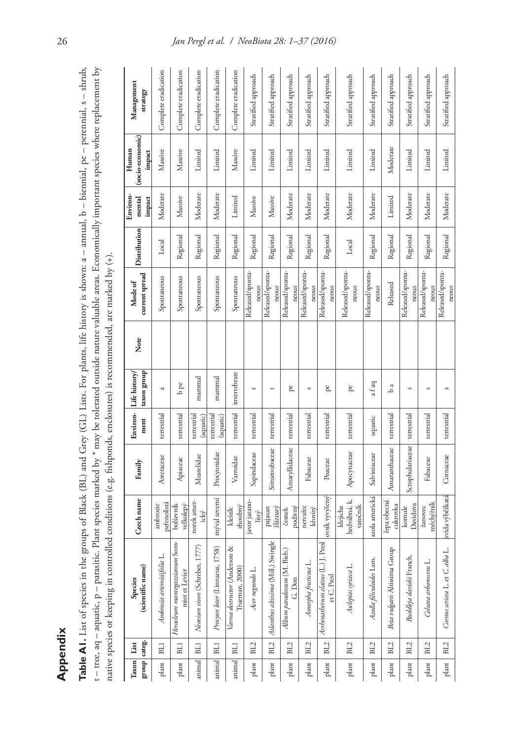**Appendix**<br>Table AI. List of species in the groups of Black (BL) and Grey (GL) Lists. For plants, life history is shown: a – annual, b – biennial, pe – perennial, s – shrub,<br>t – tree, aq – aquatic, p – parasitic. Plant sp Table A1. List of species in the groups of Black (BL) and Grey (GL) Lists. For plants, life history is shown: a - annual, b - biennial, pe - perennial, s - shrub, t – tree, aq – aquatic, p – parasitic. Plant species marked by \* may be tolerated outside nature valuable areas. Economically important species where replacement by native species or keeping in controlled conditions (e.g. fishponds, enclosures) is recommended, are marked by (+).

| group categ.<br>Taxon List |                 | (scientific name)<br>Species                           | Czech name                           | Family           | Environ-<br>ment         | taxon group<br>Life history | Note | current spread<br>Mode of | Distribution | Environ-<br>impact<br>mental | (socio-economic)<br>Human<br>impact | Management<br>strategy |
|----------------------------|-----------------|--------------------------------------------------------|--------------------------------------|------------------|--------------------------|-----------------------------|------|---------------------------|--------------|------------------------------|-------------------------------------|------------------------|
| plant                      | BL1             | Ambrosia artemisiifolia L.                             | peřenolistá<br>ambrozie              | Asteraceae       | terrestrial              | a                           |      | Spontaneous               | Local        | Moderate                     | Massive                             | Complete eradication   |
| plant                      | BLI             | Heracleum mantegazzianum Som-<br>mier et Levier        | bolševník<br>velkolepý               | Apiaceae         | terrestrial              | $b$ pe                      |      | Spontaneous               | Regional     | Massive                      | Massive                             | Complete eradication   |
| animal                     | BL1             | Neovison vison (Schreber, 1777)                        | norek amer-<br>ický                  | Mustelidae       | terrestrial<br>(aquatic) | mammal                      |      | Spontaneous               | Regional     | Moderate                     | Limited                             | Complete eradication   |
| animal                     | BLI             | Procyon lotor (Linnaeus, 1758)                         | mýval severní                        | Procyonidae      | terrestrial<br>(aquatic) | mammal                      |      | Spontaneous               | Regional     | Moderate                     | Limited                             | Complete eradication   |
| animal                     | BL1             | ∛<br>Varroa destructor (Anderson<br>Trueman, 2000)     | zhoubný<br>kleštík                   | Varroidae        | terrestrial              | invertebrate                |      | Spontaneous               | Regional     | Limited                      | Massive                             | Complete eradication   |
| plant                      | BL2             | Acer negundo L.                                        | javor jasano-<br>listý               | Sapindaceae      | terrestrial              | P                           |      | Released/sponta-<br>neous | Regional     | Massive                      | Limited                             | Stratified approach    |
| plant                      | BL2             | ingle<br>Ailanthus altissima (Mill.) Swi               | žláznatý<br>pajasan                  | Simaroubaceae    | terrestrial              | $\overline{\phantom{0}}$    |      | Released/sponta-<br>neous | Regional     | Massive                      | Limited                             | Stratified approach    |
| plant                      | BL2             | Allium paradoxum (M. Bieb.)<br>G. Don                  | podivný<br>česnek                    | Amaryllidaceae   | terrestrial              | pe                          |      | Released/sponta-<br>neous | Regional     | Moderate                     | Limited                             | Stratified approach    |
| plant                      | BL2             | Amorpha fruticosa L.                                   | netvařec<br>křovitý                  | Fabaceae         | terrestrial              | S                           |      | Released/sponta-<br>neous | Regional     | Moderate                     | Limited                             | Stratified approach    |
| plant                      | BL2             | Presl<br>Arthenatherum elatius (L.) J. I<br>et C. Pres | ovsík vyvýšený                       | Poaceae          | terrestrial              | pe                          |      | Released/sponta-<br>neous | Regional     | Moderate                     | Limited                             | Stratified approach    |
| plant                      | BL2             | Asclepias syriaca L.                                   | hedvábná, k.<br>vatočník<br>klejicha | Apocynaceae      | terrestrial              | pe,                         |      | Released/sponta-<br>neous | Local        | Moderate                     | Limited                             | Stratified approach    |
| plant                      | BL2             | Azolla filiculoides Lam.                               | azola americká                       | Salviniaceae     | aquatic                  | afaq                        |      | Released/sponta-<br>neous | Regional     | Moderate                     | Limited                             | Stratified approach    |
| plant                      | BL <sub>2</sub> | Beta vulgaris Altissima Group                          | řepa obecná<br>cukrovka              | Amaranthaceae    | terrestrial              | b a                         |      | Released                  | Regional     | Limited                      | Moderate                            | Stratified approach    |
| plant                      | BL2             | Buddleja davidii Franch.                               | Davidova<br>komule                   | Scrophulariaceae | terrestrial              | S                           |      | Released/sponta-<br>neous | Regional     | Moderate                     | Limited                             | Stratified approach    |
| plant                      | BL2             | Colutea arborescens L.                                 | měchýřník<br>žanovec                 | Fabaceae         | terrestrial              | S                           |      | Released/sponta-<br>neous | Regional     | Moderate                     | Limited                             | Stratified approach    |
| plant                      | BL2             | Ļ<br>Cornus sericea L. et C. alba                      | svída výběžkatá                      | Cornaceae        | terrestrial              | S                           |      | Released/sponta-<br>neous | Regional     | Moderate                     | Limited                             | Stratified approach    |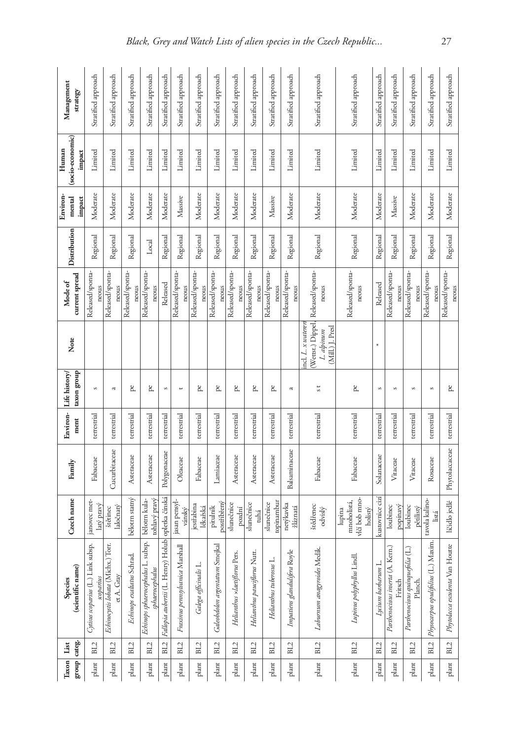|       | group categ.<br>Taxon List | (scientific name)<br>Species                          | Czech name                                        | Family         | Environ-<br>ment | taxon group<br>Life history | Note                                                                     | current spread<br>Mode of | Distribution | Environ-<br>mental<br>impact | (socio-economic)<br>Human<br>impact | Management<br>strategy |
|-------|----------------------------|-------------------------------------------------------|---------------------------------------------------|----------------|------------------|-----------------------------|--------------------------------------------------------------------------|---------------------------|--------------|------------------------------|-------------------------------------|------------------------|
| plant | BL <sub>2</sub>            | Cytisus scoparius (L.) Link subsp.<br>scoparius       | janovec met-<br>latý pravý                        | Fabaceae       | terrestrial      | $\mathfrak{S}$              |                                                                          | Released/sponta-<br>neous | Regional     | Moderate                     | Limited                             | Stratified approach    |
| plant | BL2                        | Echinocystis lobata (Michx.) Torr.<br>et A. Gray      | aločnatý<br>štětinec                              | Cucurbitaceae  | terrestrial      | a                           |                                                                          | Released/sponta-<br>neous | Regional     | Moderate                     | Limited                             | Stratified approach    |
| plant | BL2                        | Echinops exaltatus Schrad.                            | bělotrn statný                                    | Asteraceae     | terrestrial      | pe.                         |                                                                          | Released/sponta-<br>neous | Regional     | Moderate                     | Limited                             | Stratified approach    |
| plant | BL2                        | Echinops sphaerocephalus L. subsp.<br>sphaerocephalus | tohlavý pravý<br>bélotrn kula-                    | Asteraceae     | terrestrial      | pe                          |                                                                          | Released/sponta-<br>neous | Local        | Moderate                     | Limited                             | Stratified approach    |
| plant | BL2                        | Fallopia aubertii (L. Henry) Holub   opletka čínská   |                                                   | Polygonaceae   | terrestrial      | S                           |                                                                          | Released                  | Regional     | Moderate                     | Limited                             | Stratified approach    |
| plant | BL2                        | Fraxinus pennsylvanica Marshall                       | jasan pensyl-<br>vánský                           | Oleaceae       | terrestrial      | $\overline{\phantom{0}}$    |                                                                          | Released/sponta-<br>neous | Regional     | Massive                      | Limited                             | Stratified approach    |
| plant | BL <sub>2</sub>            | Salega officinalis L.                                 | iestřabina<br>lékařská                            | Fabaceae       | terrestrial      | pe                          |                                                                          | Released/sponta-<br>neous | Regional     | Moderate                     | Limited                             | Stratified approach    |
| plant | BL <sub>2</sub>            | Galeobdolon argentatum Smejkal                        | postříbřený<br>pitulník                           | Lamiaceae      | terrestrial      | pe                          |                                                                          | Released/sponta-<br>neous | Regional     | Moderate                     | Limited                             | Stratified approach    |
| plant | BL2                        | Helianthus ×laetiflorus Pers.                         | slunečnice<br>pozdní                              | Asteraceae     | terrestrial      | pe                          |                                                                          | Released/sponta-<br>neous | Regional     | Moderate                     | Limited                             | Stratified approach    |
| plant | BL2                        | Helianthus pauciflorus Nutt.                          | slunečnice<br>tuhá                                | Asteraceae     | terrestrial      | pe                          |                                                                          | Released/sponta-<br>neous | Regional     | Moderate                     | Limited                             | Stratified approach    |
| plant | BL2                        | Helianthus tuberosus L.                               | topinambur<br>slunečnice                          | Asteraceae     | terrestrial      | pe                          |                                                                          | Released/sponta-<br>neous | Regional     | Massive                      | Limited                             | Stratified approach    |
| plant | BL2                        | Impatiens glandulifera Royle                          | netýkavka<br>žláznatá                             | Balsaminaceae  | terrestrial      | a                           |                                                                          | Released/sponta-<br>neous | Regional     | Moderate                     | Limited                             | Stratified approach    |
| plant | BL <sub>2</sub>            | Laburnum anagyroides Medik                            | štědřenec<br>odvislý                              | Fabaceae       | terrestrial      | s t                         | Wettst.) Dippel,<br>incl. L. x waterer<br>(Mill.) J. Presl<br>L. alpinum | Released/sponta-<br>neous | Regional     | Moderate                     | Limited                             | Stratified approach    |
| plant | BL <sub>2</sub>            | Lupinus polyphyllus Lindl.                            | vlčí bob mno-<br>mnoholistá,<br>holistý<br>lupina | Fabaceae       | terrestrial      | pe                          |                                                                          | Released/sponta-<br>neous | Regional     | Moderate                     | Limited                             | Stratified approach    |
| plant | BL2                        | Lycium barbarum L.                                    | kustovnice cizí                                   | Solanaceae     | terrestrial      | S                           | $\ast$                                                                   | Released                  | Regional     | Moderate                     | Limited                             | Stratified approach    |
| plant | BL2                        | Parthenocissus inserta (A. Kern.)<br>Fritsch          | popinavý<br>loubinec                              | Vitaceae       | terrestrial      | S                           |                                                                          | Released/sponta-<br>neous | Regional     | Massive                      | Limited                             | Stratified approach    |
| plant | BL2                        | Parthenocissus quinquefolia (L<br>Planch.             | loubinec<br>pětilistý                             | Vitaceae       | terrestrial      | $\mathcal{S}$               |                                                                          | Released/sponta-<br>neous | Regional     | Moderate                     | Limited                             | Stratified approach    |
| plant | BL2                        | Ę<br>Physocarpus opulifolius (L.) Maxi                | tavola kalino-<br>listá                           | Rosaceae       | terrestrial      | $\mathcal{S}$               |                                                                          | Released/sponta-<br>neous | Regional     | Moderate                     | Limited                             | Stratified approach    |
| plant | BL2                        | Phytolacca esculenta Van Houtte                       | líčidlo jedlé                                     | Phytolaccaceae | terrestrial      | pe                          |                                                                          | Released/sponta-<br>neous | Regional     | Moderate                     | Limited                             | Stratified approach    |
|       |                            |                                                       |                                                   |                |                  |                             |                                                                          |                           |              |                              |                                     |                        |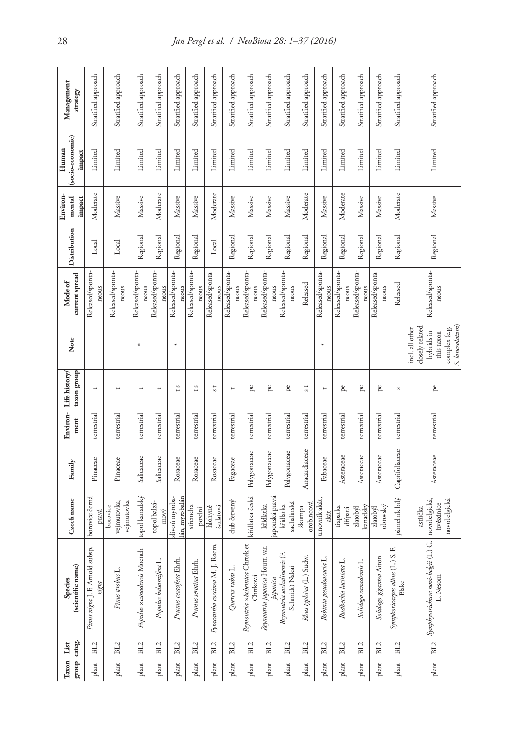| Taxon List | group categ.    | (scientific name)<br>Species                                  | Czech name                                             | Family         | Environ-<br>ment | taxon group<br>Life history/ | Note                                                                                     | current spread<br>Mode of | Distribution | Environ<br>mental<br>impact | (socio-economic)<br>Human<br>impact | Management<br>strategy |
|------------|-----------------|---------------------------------------------------------------|--------------------------------------------------------|----------------|------------------|------------------------------|------------------------------------------------------------------------------------------|---------------------------|--------------|-----------------------------|-------------------------------------|------------------------|
| plant      | BL2             | Pinus nigra J. F. Arnold subsp.<br>nigra                      | borovice černá<br>pravá                                | Pinaceae       | terrestrial      | $\overline{\phantom{a}}$     |                                                                                          | Released/sponta-<br>neous | Local        | Moderate                    | Limited                             | Stratified approach    |
| plant      | BL2             | Pinus strobus L.                                              | vejmutovka,<br>vejmutovka<br>borovice                  | Pinaceae       | terrestrial      | $\overline{\phantom{0}}$     |                                                                                          | Released/sponta-<br>neous | Local        | Massive                     | Limited                             | Stratified approach    |
| plant      | BL2             | Populus xcanadensis Moench                                    | topol kanadský                                         | Salicaceae     | terrestrial      | ب                            | $\ast$                                                                                   | Released/sponta-<br>neous | Regional     | Massive                     | Limited                             | Stratified approach    |
| plant      | BL2             | Populus balsamifera L.                                        | topol balzá-<br>mový                                   | Salicaceae     | terrestrial      | $\overline{\phantom{a}}$     |                                                                                          | Released/sponta-<br>neous | Regional     | Moderate                    | Limited                             | Stratified approach    |
| plant      | BL2             | Prunus cerasifera Ehrh.                                       | lán, myrobalán<br>slivoň myroba-                       | Rosaceae       | terrestrial      | t s                          | $\ast$                                                                                   | Released/sponta-<br>neous | Regional     | Massive                     | Limited                             | Stratified approach    |
| plant      | BL <sub>2</sub> | Prunus serotina Ehth.                                         | střemcha<br>pozdní                                     | Rosaceae       | terrestrial      | t s                          |                                                                                          | Released/sponta-<br>neous | Regional     | Massive                     | Limited                             | Stratified approach    |
| plant      | BL2             | Pyracantha coccinea M. J. Roem.                               | hlohyně<br>šarlatová                                   | Rosaceae       | terrestrial      | s t                          |                                                                                          | Released/sponta-<br>neous | Local        | Moderate                    | Limited                             | Stratified approach    |
| plant      | BL <sub>2</sub> | Quercus rubra L.                                              | dub červený                                            | Fagaceae       | terrestrial      | $\overline{\phantom{a}}$     |                                                                                          | Released/sponta-<br>neous | Regional     | Massive                     | Limited                             | Stratified approach    |
| plant      | BL <sub>2</sub> | đ<br>Reynoutria x bohemica Chreek<br>Chrtková                 | křídlatka česká                                        | Polygonaceae   | terrestrial      | pe                           |                                                                                          | Released/sponta-<br>neous | Regional     | Massive                     | Limited                             | Stratified approach    |
| plant      | BL2             | Reynoutria japonica Houtt. var.<br>aponica                    | japonská pravá<br>křídlatka                            | Polygonaceae   | terrestrial      | pe                           |                                                                                          | Released/sponta-<br>neous | Regional     | Massive                     | Limited                             | Stratified approach    |
| plant      | BL <sub>2</sub> | Reynoutria sachalinensis (F.<br>Schmidt) Nakai                | sachalinská<br>křídlatka                               | Polygonaceae   | terrestrial      | pe                           |                                                                                          | Released/sponta-<br>neous | Regional     | Massive                     | Limited                             | Stratified approach    |
| plant      | BL2             | Rhus typhina (L.) Sudw.                                       | orobincová<br>skumpa                                   | Anacardiaceae  | terrestrial      | s t                          |                                                                                          | Released                  | Regional     | Moderate                    | Limited                             | Stratified approach    |
| plant      | BL2             | Robinia pseudoacacia L.                                       | trnovník akát,<br>akát                                 | Fabaceae       | terrestrial      | $\overline{ }$               | $\ast$                                                                                   | Released/sponta-<br>neous | Regional     | Massive                     | Limited                             | Stratified approach    |
| plant      | BL2             | Rudbeckia laciniata L.                                        | třapatka<br>dřípatá                                    | Asteraceae     | terrestrial      | pe                           |                                                                                          | Released/sponta-<br>neous | Regional     | Moderate                    | Limited                             | Stratified approach    |
| plant      | BL2             | Solidago canadensis <sub>L</sub> .                            | kanadský<br>zlatobýl                                   | Asteraceae     | terrestrial      | pe                           |                                                                                          | Released/sponta-<br>neous | Regional     | Massive                     | Limited                             | Stratified approach    |
| plant      | BL2             | Solidago gigantea Aiton                                       | obrovský<br>zlatobýl                                   | Asteraceae     | terrestrial      | pe                           |                                                                                          | Released/sponta-<br>neous | Regional     | Massive                     | Limited                             | Stratified approach    |
| plant      | BL <sub>2</sub> | Symphoricarpos albus (L.) S.<br>Blake                         | pámelník bílý                                          | Caprifoliaceae | terrestrial      | S                            |                                                                                          | Released                  | Regional     | Moderate                    | Limited                             | Stratified approach    |
| plant      | BL2             | $\overline{G}$<br>Symphyotrichum novi-belgii (L.)<br>L. Nesom | novobelgická,<br>novobelgická<br>hvězdnice<br>astřička | Asteraceae     | terrestrial      | g,                           | closely related<br>$\mbox{complex}$ (e.g.<br>incl. all other<br>hybrids in<br>this taxon | Released/sponta-<br>neous | Regional     | Massive                     | Limited                             | Stratified approach    |
|            |                 |                                                               |                                                        |                |                  |                              | S. lanceolatum)                                                                          |                           |              |                             |                                     |                        |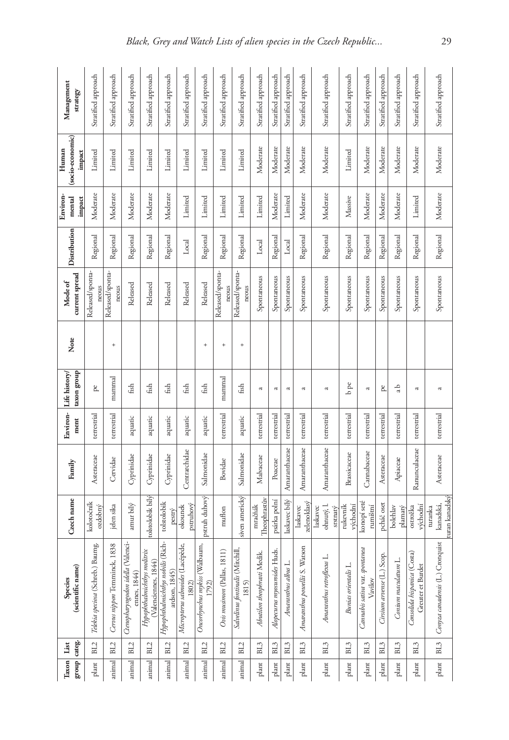|        | group categ.<br>Taxon List | (scientific name)<br>Species                        | Czech name                             | Family        | Environ-<br>ment | taxon group<br>Life history | Note      | current spread<br>Mode of | Distribution | Environ-<br>mental<br>impact | (socio-economic)<br>Human<br>impact | Management<br>strategy |
|--------|----------------------------|-----------------------------------------------------|----------------------------------------|---------------|------------------|-----------------------------|-----------|---------------------------|--------------|------------------------------|-------------------------------------|------------------------|
| plant  | BL <sub>2</sub>            | cio<br>Telekia speciosa (Schreb.) Baum              | kolotočník<br>ozdobný                  | Asteraceae    | terrestrial      | pe                          |           | Released/sponta-<br>neous | Regional     | Moderate                     | Limited                             | Stratified approach    |
| animal | BL <sub>2</sub>            | ∞<br>Cervus nippon Temminck, 183                    | jelen sika                             | Cervidae      | terrestrial      | mammal                      | $^{+}$    | Released/sponta-<br>neous | Regional     | Moderate                     | Limited                             | Stratified approach    |
| animal | BL2                        | Ctenopharyngodon idella (Valenci-<br>ennes, 1844)   | amur bílý                              | Cyprinidae    | aquatic          | fish                        |           | Released                  | Regional     | Moderate                     | Limited                             | Stratified approach    |
| animal | BL2                        | Hypophthalmichthys molitrix<br>(Valenciennes, 1844) | tolstolobik bílý                       | Cyprinidae    | aquatic          | fish                        |           | Released                  | Regional     | Moderate                     | Limited                             | Stratified approach    |
| animal | BL2                        | Hypophthalmichthys nobilis (Rich-<br>ardson, 1845)  | tolstolobik<br>pestrý                  | Cyprinidae    | aquatic          | fish                        |           | Released                  | Regional     | Moderate                     | Limited                             | Stratified approach    |
| animal | BL2                        | Ć,<br>Micropterus salmoides (Lacépèd<br>1802)       | pstruhový<br>okounek                   | Centrarchidae | aquatic          | fish                        |           | Released                  | Local        | Limited                      | Limited                             | Stratified approach    |
| animal | BL2                        | Oncorbynchus mykiss (Walbaum,<br>1792)              | pstruh duhový                          | Salmonidae    | aquatic          | fish                        | $\ddot{}$ | Released                  | Regional     | Limited                      | Limited                             | Stratified approach    |
| animal | BL2                        | Ovis musimon (Pallas, 1811)                         | muflon                                 | Bovidae       | terrestrial      | mammal                      | $\ddot{}$ | Released/sponta-<br>neous | Regional     | Limited                      | Limited                             | Stratified approach    |
| animal | BL2                        | Salvelinus fontinalis (Mitchill,<br>1815)           | siven americký                         | Salmonidae    | aquatic          | fish                        | $^{+}$    | Released/sponta-<br>neous | Regional     | Limited                      | Limited                             | Stratified approach    |
| plant  | BL3                        | Abutilon theophrasti Medik.                         | Theophrastův<br>mračňák                | Malvaceae     | terrestrial      | a                           |           | Spontaneous               | Local        | Limited                      | Moderate                            | Stratified approach    |
| plant  | BL <sub>3</sub>            | Alopecurus myosuroides Huds.                        | psárka polní                           | Poaceae       | terrestrial      | $\approx$                   |           | Spontaneous               | Regional     | Moderate                     | Moderate                            | Stratified approach    |
| plant  | BL <sub>3</sub>            | Amaranthus albus L.                                 | laskavec bílý                          | Amaranthaceae | terrestrial      | $\approx$                   |           | Spontaneous               | Local        | Limited                      | Moderate                            | Stratified approach    |
| plant  | BL3                        | Amaranthus powellii S. Watson                       | zelenoklasý<br>laskavec                | Amaranthaceae | terrestrial      | $\approx$                   |           | Spontaneous               | Regional     | Moderate                     | Moderate                            | Stratified approach    |
| plant  | BL <sub>3</sub>            | Amaranthus retroflexus L.                           | ohnutý, l.<br>laskavec<br>sıstnatý     | Amaranthaceae | terrestrial      | a                           |           | Spontaneous               | Regional     | Moderate                     | Moderate                            | Stratified approach    |
| plant  | BL3                        | Bunias orientalis L.                                | rukevník<br>východní                   | Brassicaceae  | terrestrial      | $_{\rm b~pc}$               |           | Spontaneous               | Regional     | Massive                      | Limited                             | Stratified approach    |
| plant  | BL <sub>3</sub>            | Cannabis sativa vat. spontanea<br>Vavilov           | konopí seté<br>rumištní                | Cannabaceae   | terrestrial      | $\approx$                   |           | Spontaneous               | Regional     | Moderate                     | Moderate                            | Stratified approach    |
| plant  | BL <sub>3</sub>            | Cirsium arvense (L.) Scop.                          | pcháč oset                             | Asteraceae    | terrestrial      | pe                          |           | Spontaneous               | Regional     | Moderate                     | Moderate                            | Stratified approach    |
| plant  | BL3                        | Conium maculatum L.                                 | bolehlav<br>plamatý                    | Apiaceae      | terrestrial      | da                          |           | Spontaneous               | Regional     | Moderate                     | Moderate                            | Stratified approach    |
| plant  | BL <sub>3</sub>            | Consolida hispanica (Costa)<br>Greuter et Burdet    | východní<br>ostrožka                   | Ranunculaceae | terrestrial      | ದ                           |           | Spontaneous               | Regional     | Limited                      | Moderate                            | Stratified approach    |
| plant  | BL3                        | Conyza canadensis (L.) Cronquist                    | turan kanadsky<br>kanadská,<br>turanka | Asteraceae    | terrestrial      | a                           |           | Spontaneous               | Regional     | Moderate                     | Moderate                            | Stratified approach    |
|        |                            |                                                     |                                        |               |                  |                             |           |                           |              |                              |                                     |                        |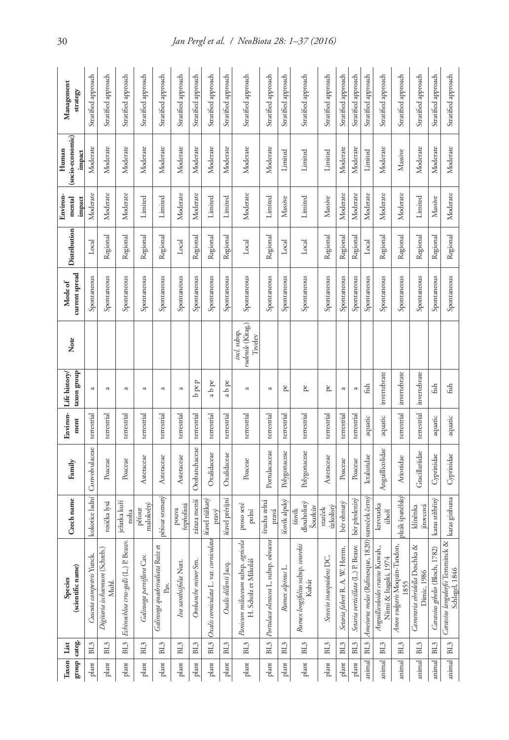|        | group categ.<br>Taxon List | (scientific name)<br>Species                                  | Czech name                       | Family          | Environ-<br>ment | taxon group<br>Life history | Note                                         | current spread<br>Mode of | Distribution | Environ-<br>mental<br>impact | (socio-economic)<br>Human<br>impact | Management<br>strategy |
|--------|----------------------------|---------------------------------------------------------------|----------------------------------|-----------------|------------------|-----------------------------|----------------------------------------------|---------------------------|--------------|------------------------------|-------------------------------------|------------------------|
| plant  | BL <sub>3</sub>            | Cuscuta campestris Yunck.                                     | kokotice ladní                   | Convolvulaceae  | terrestrial      | a                           |                                              | Spontaneous               | Local        | Moderate                     | Moderate                            | Stratified approach    |
| plant  | BL <sub>3</sub>            | Digitaria ischaemum (Schreb.)<br>Muhl.                        | rosička lysá                     | Poaceae         | terrestrial      | ಡ                           |                                              | Spontaneous               | Regional     | Moderate                     | Moderate                            | Stratified approach    |
| plant  | BL <sub>3</sub>            | Echinochloa crus-galli (L.) P. Beauv.                         | ježatka kuří<br>noha             | Poaceae         | terrestrial      | £                           |                                              | Spontaneous               | Regional     | Moderate                     | Moderate                            | Stratified approach    |
| plant  | BL <sub>3</sub>            | Galinsoga parviflora Cav.                                     | malokvětý<br>pétour              | Asteraceae      | terrestrial      | ಡ                           |                                              | Spontaneous               | Regional     | Limited                      | Moderate                            | Stratified approach    |
| plant  | BL3                        | Galinsoga quadriradiata Ruiz et<br>Pav.                       | pěťour srstnatý                  | Asteraceae      | terrestrial      | $\mathfrak{a}$              |                                              | Spontaneous               | Regional     | Limited                      | Moderate                            | Stratified approach    |
| plant  | BL <sub>3</sub>            | Iva xanthiifolia Nutt.                                        | řepňolistá<br>pouva              | Asteraceae      | terrestrial      | a                           |                                              | Spontaneous               | Local        | Moderate                     | Moderate                            | Stratified approach    |
| plant  | BL <sub>3</sub>            | Orobanche minor Sm.                                           | záraza menší                     | Orobanchaceae   | terrestrial      | $b$ pe $p$                  |                                              | Spontaneous               | Regional     | Moderate                     | Moderate                            | Stratified approach    |
| plant  | BL3                        | Oxalis corniculata L. var. corniculata                        | šťavel růžkatý<br>pravý          | Oxalidaceae     | terrestrial      | ab pe                       |                                              | Spontaneous               | Regional     | Limited                      | Moderate                            | Stratified approach    |
| plant  | BL <sub>3</sub>            | Osalis dillenii Jacq.                                         | šťavel prérijní                  | Oxalidaceae     | terrestrial      | ab pe                       |                                              | Spontaneous               | Regional     | Limited                      | Moderate                            | Stratified approach    |
| plant  | BL <sub>3</sub>            | Panicum miliaceum subsp. agricola<br>H. Scholz et Mikoláš     | proso seté<br>polní              | Poaceae         | terrestrial      | $\approx$                   | ruderale (Kitag.)<br>incl. subsp.<br>Tzvelev | Spontaneous               | Local        | Moderate                     | Moderate                            | Stratified approach    |
| plant  | BL3                        | cea<br>Portulaca oleracea L. subsp. olera                     | šrucha zelná<br>pravá            | Portulacaceae   | terrestrial      | a                           |                                              | Spontaneous               | Regional     | Limited                      | Moderate                            | Stratified approach    |
| plant  | BL <sub>3</sub>            | Rumex alpinus L.                                              | šťovík alpský                    | Polygonaceae    | terrestrial      | pe                          |                                              | Spontaneous               | Local        | Massive                      | Limited                             | Stratified approach    |
| plant  | BL3                        | Rumex longifolius subsp. sourekü<br>Kubát                     | dlouholistý<br>Sourkův<br>šťovík | Polygonaceae    | terrestrial      | pe                          |                                              | Spontaneous               | Local        | Limited                      | Limited                             | Stratified approach    |
| plant  | BL <sub>3</sub>            | Senecio inaequidens DC.                                       | úzkolistý<br>starček             | Asteraceae      | terrestrial      | pe                          |                                              | Spontaneous               | Regional     | Massive                      | Limited                             | Stratified approach    |
| plant  | BL <sub>3</sub>            | Setaria faberi R. A. W. Herrm                                 | bér ohnutý                       | Poaceae         | terrestrial      | ಡ                           |                                              | Spontaneous               | Regional     | Moderate                     | Moderate                            | Stratified approach    |
| plant  | BL3                        | Setaria verticillata (L.) P. Beauv.                           | bér přeslenitý                   | Poaceae         | terrestrial      | a                           |                                              | Spontaneous               | Regional     | Moderate                     | Moderate                            | Stratified approach    |
| animal | BL3                        | Ameiurus melas (Rafinesque, 1820) sumeček černý               |                                  | Ictaluridae     | aquatic          | fish                        |                                              | Spontaneous               | Local        | Moderate                     | Limited                             | Stratified approach    |
| animal | BL <sub>3</sub>            | Anguillicoloides crassus Kuwah.,<br>Niimi & Itagaki, 1974     | krevnatka<br>úhoří               | Anguillicolidae | aquatic          | invertebrate                |                                              | Spontaneous               | Regional     | Moderate                     | Moderate                            | Stratified approach    |
| animal | BL <sub>3</sub>            | Arion vulgaris Moquin-Tandon,<br>1855                         | plzák španělský                  | Arionidae       | terrestrial      | invertebrate                |                                              | Spontaneous               | Regional     | Moderate                     | Massive                             | Stratified approach    |
| animal | BL <sub>3</sub>            | Cameraria obridella Deschka &<br>Dimic, 1986                  | jírovcová<br>klíněnka            | Gracillariidae  | terrestrial      | invertebrate                |                                              | Spontaneous               | Regional     | Limited                      | Moderate                            | Stratified approach    |
| animal | BL3                        | Carassius gibelio (Bloch, 1782)                               | karas stříbřitý                  | Cyprinidae      | aquatic          | fish                        |                                              | Spontaneous               | Regional     | Massive                      | Moderate                            | Stratified approach    |
| animal | BL <sub>3</sub>            | 8<br>Carassius langsdorfii Temminck<br><b>Schlegel</b> , 1846 | karas ginbuna                    | Cyprinidae      | aquatic          | fish                        |                                              | Spontaneous               | Regional     | Moderate                     | Moderate                            | Stratified approach    |
|        |                            |                                                               |                                  |                 |                  |                             |                                              |                           |              |                              |                                     |                        |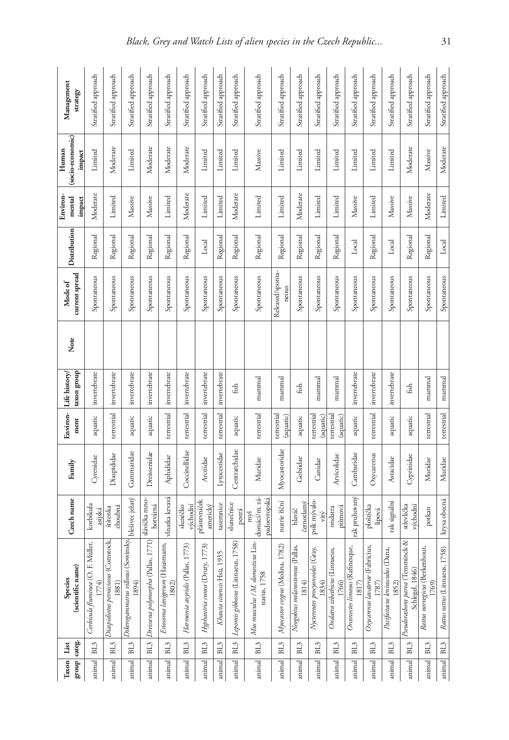|        | group categ.<br>Taxon List | (scientific name)<br>Species                          | Czech name                           | Family        | Environ-<br>ment         | taxon group<br>Life history | Note | current spread<br>Mode of | Distribution | Environ-<br>mental<br>impact | (socio-economic)<br>Human<br>impact | Management<br>strategy |
|--------|----------------------------|-------------------------------------------------------|--------------------------------------|---------------|--------------------------|-----------------------------|------|---------------------------|--------------|------------------------------|-------------------------------------|------------------------|
| animal | BL3                        | er,<br>Corbicula fluminea (O. F. Müll<br>1774)        | korbikula<br>asiiská                 | Cyrenidae     | aquatic                  | invertebrate                |      | Spontaneous               | Regional     | Moderate                     | Limited                             | Stratified approach    |
| animal | BL <sub>3</sub>            | न्द्रं<br>Diaspidiotus perniciosus (Comsto<br>(1881)  | zhoubná<br>štítenka                  | Diaspididae   | terrestrial              | invertebrate                |      | Spontaneous               | Regional     | Limited                      | Moderate                            | Stratified approach    |
| animal | BL <sub>3</sub>            | Dikerogammarus villosus (Sowinsky,<br>1894)           | blešivec ježatý                      | Gammaridae    | aquatic                  | invertebrate                |      | Spontaneous               | Regional     | Massive                      | Limited                             | Stratified approach    |
| animal | BL3                        | 71)<br>Dreissena polymorpha (Pallas, 17               | slávička mno-<br>hotvárná            | Dreissenidae  | aquatic                  | invertebrate                |      | Spontaneous               | Regional     | Massive                      | Moderate                            | Stratified approach    |
| animal | BL <sub>3</sub>            | Eriosoma lanigerum (Hausmann,<br>1802)                | vlnatka krvavá                       | Aphididae     | terrestrial              | invertebrate                |      | Spontaneous               | Regional     | Limited                      | Moderate                            | Stratified approach    |
| animal | BL3                        | 3)<br>Harmonia axyridis (Pallas, 177                  | východní<br>slunéčko                 | Coccinellidae | terrestrial              | invertebrate                |      | Spontaneous               | Regional     | Moderate                     | Moderate                            | Stratified approach    |
| animal | $\rm BL3$                  | କି<br>Hyphantria cunea (Drury, 177                    | přástevníček<br>americký             | Arctiidae     | terrestrial              | invertebrate                |      | Spontaneous               | Local        | Limited                      | Limited                             | Stratified approach    |
| animal | BL <sub>3</sub>            | Khawia sinensis Hsü, 1935                             | tasemnice                            | Lytocestidae  | terrestrial              | invertebrate                |      | Spontaneous               | Regional     | Limited                      | Limited                             | Stratified approach    |
| animal | BL <sub>3</sub>            | 58)<br>Lepomis gibbosus (Linnaeus, 175                | slunečnice<br>pestrá                 | Centrarchidae | aquatic                  | fish                        |      | Spontaneous               | Regional     | Moderate                     | Limited                             | Stratified approach    |
| animal | BL <sub>3</sub>            | ģ<br>Mus musculus / M. domesticus Li<br>naeus, 1758   | domácí/m. zá-<br>padoevropská<br>myš | Muridae       | terrestrial              | mammal                      |      | Spontaneous               | Regional     | Limited                      | Massive                             | Stratified approach    |
| animal | BL3                        | Myocastor coypus (Molina, 1782)                       | nutrie říční                         | Myocastoridae | terrestrial<br>(aquatic) | mammal                      |      | Released/sponta-<br>neous | Regional     | Limited                      | Limited                             | Stratified approach    |
| animal | BL <sub>3</sub>            | Neogobius melanostomus (Pallas,<br>1814)              | černotlamý<br>hlaváč                 | Gobiidae      | aquatic                  | fish                        |      | Spontaneous               | Regional     | Moderate                     | Limited                             | Stratified approach    |
| animal | BL <sub>3</sub>            | Nyctereutes procyonoides (Gray,<br>1834)              | psík mývalo-<br>vitý                 | Canidae       | terrestrial<br>(aquatic) | mammal                      |      | Spontaneous               | Regional     | Limited                      | Limited                             | Stratified approach    |
| animal | BL3                        | Ondatra zibethicus (Linnaeus,<br>1766)                | pižmová<br>ondatra                   | Arvicolidae   | terrestrial<br>(aquatic) | mammal                      |      | Spontaneous               | Regional     | Limited                      | Limited                             | Stratified approach    |
| animal | BL <sub>3</sub>            | Orconectes limosus (Rafinesque,<br>$1817)$            | rak pruhovaný                        | Cambaridae    | aquatic                  | invertebrate                |      | Spontaneous               | Local        | Massive                      | Limited                             | Stratified approach    |
| animal | BL <sub>3</sub>            | Osycarenus lavaterae (Fabricius,<br>1787)             | ploštička<br>lipová                  | Oxycarenus    | terrestrial              | invertebrate                |      | Spontaneous               | Regional     | Limited                      | Limited                             | Stratified approach    |
| animal | BL <sub>3</sub>            | Pacifastacus leniusculus (Dana,<br>1852)              | rak signální                         | Astacidae     | aquatic                  | invertebrate                |      | Spontaneous               | Local        | Massive                      | Limited                             | Stratified approach    |
| animal | BL <sub>3</sub>            | 8<br>Pseudorasbora parua (Temminck<br>Schlegel, 1846) | střevlička<br>východní               | Cyprinidae    | aquatic                  | fish                        |      | Spontaneous               | Regional     | Massive                      | Moderate                            | Stratified approach    |
| animal | BL <sub>3</sub>            | Rattus norvegicus (Berkenhout<br>(769)                | potkan                               | Muridae       | terrestrial              | mammal                      |      | Spontaneous               | Regional     | Moderate                     | Massive                             | Stratified approach    |
| animal | BL3                        | Rattus rattus (Linnaeus, 1758)                        | krysa obecná                         | Muridae       | terrestrial              | mammal                      |      | Spontaneous               | Local        | Limited                      | Moderate                            | Stratified approach    |
|        |                            |                                                       |                                      |               |                          |                             |      |                           |              |                              |                                     |                        |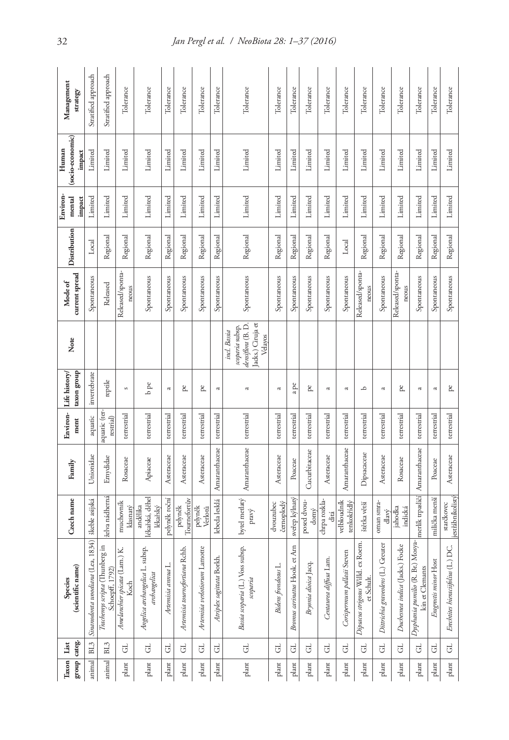| Management                | strategy          | Stratified approach                 | Stratified approach                                  | Tolerance                                | Tolerance                                       | Tolerance          | Tolerance                      | Tolerance                     | Tolerance                 | Tolerance                                                                            | Tolerance                 | Tolerance                        | Tolerance            | Tolerance              | Tolerance                   | Tolerance                                        | Tolerance                          | Tolerance                       | Tolerance                                            | Tolerance             | Tolerance                          |
|---------------------------|-------------------|-------------------------------------|------------------------------------------------------|------------------------------------------|-------------------------------------------------|--------------------|--------------------------------|-------------------------------|---------------------------|--------------------------------------------------------------------------------------|---------------------------|----------------------------------|----------------------|------------------------|-----------------------------|--------------------------------------------------|------------------------------------|---------------------------------|------------------------------------------------------|-----------------------|------------------------------------|
| (socio-economic)<br>Human | impact            | Limited                             | Limited                                              | Limited                                  | Limited                                         | Limited            | Limited                        | Limited                       | Limited                   | Limited                                                                              | Limited                   | Limited                          | Limited              | Limited                | Limited                     | Limited                                          | Limited                            | Limited                         | Limited                                              | Limited               | Limited                            |
| Environ-<br>mental        | impact            | Limited                             | Limited                                              | Limited                                  | Limited                                         | Limited            | Limited                        | Limited                       | Limited                   | Limited                                                                              | Limited                   | Limited                          | Limited              | Limited                | Limited                     | Limited                                          | Limited                            | Limited                         | Limited                                              | Limited               | Limited                            |
| Distribution              |                   | Local                               | Regional                                             | Regional                                 | Regional                                        | Regional           | Regional                       | Regional                      | Regional                  | Regional                                                                             | Regional                  | Regional                         | Regional             | Regional               | Local                       | Regional                                         | Regional                           | Regional                        | Regional                                             | Regional              | Regional                           |
| <b>Mode of</b>            | current spread    | Spontaneous                         | Released                                             | Released/sponta-<br>neous                | Spontaneous                                     | Spontaneous        | Spontaneous                    | Spontaneous                   | Spontaneous               | Spontaneous                                                                          | Spontaneous               | Spontaneous                      | Spontaneous          | Spontaneous            | Spontaneous                 | Released/sponta-<br>neous                        | Spontaneous                        | Released/sponta-<br>neous       | Spontaneous                                          | Spontaneous           | Spontaneous                        |
| Note                      |                   |                                     |                                                      |                                          |                                                 |                    |                                |                               |                           | Jacks.) Ciruja et<br>densiflora (B. D.<br>scoparia subsp.<br>incl. Bassia<br>Velayos |                           |                                  |                      |                        |                             |                                                  |                                    |                                 |                                                      |                       |                                    |
| Life history/             | taxon group       | invertebrate                        | $% \left( \left( \mathcal{A}\right) \right)$ reptile | s                                        | $b$ pe                                          | $\approx$          | pe                             | pe                            | a                         | a                                                                                    | $\overline{\mathfrak{c}}$ | a pe                             | pe                   | a                      | $\overline{\mathfrak{c}}$   | م                                                | $\approx$                          | pe                              | $\approx$                                            | $\varpi$              | pe,                                |
| Environ-                  | ment              | aquatic                             | aquatic (ter-<br>restrial)                           | terrestrial                              | terrestrial                                     | terrestrial        | terrestrial                    | terrestrial                   | terrestrial               | terrestrial                                                                          | terrestrial               | terrestrial                      | terrestrial          | terrestrial            | terrestrial                 | terrestrial                                      | terrestrial                        | terrestrial                     | terrestrial                                          | terrestrial           | terrestrial                        |
| Family                    |                   | Unionidae                           | Emydidae                                             | Rosaceae                                 | Apiaceae                                        | Asteraceae         | Asteraceae                     | Asteraceae                    | Amaranthaceae             | Amaranthaceae                                                                        | Asteraceae                | Poaceae                          | Cucurbitaceae        | Asteraceae             | Amaranthaceae               | Dipsacaceae                                      | Asteraceae                         | Rosaceae                        | merlík trpasličí Amaranthaceae                       | Poaceae               | Asteraceae                         |
| Czech name                |                   | škeble asijská                      | želva nádherná                                       | muchovník<br>klasnatý                    | ékařská, děhel<br>andělika<br>lékařský          | pelyněk roční      | Tournefortův<br>pelyněk        | pelyněk<br>Verlotů            | lebeda lesklá             | bytel metlatý<br>pravý                                                               | černoplodý<br>dvouzubec   | sveřep kylnatý                   | posed dvou-<br>domý  | chrpa rozkla-<br>ditá  | velbloudník<br>tenkokřídlý  | štětka větší                                     | oman smra-<br>dlavý                | jahodka<br>indická              |                                                      | milička menší         | jestřábníkolistý<br>starčkovec     |
| Species                   | (scientific name) | 1834)<br>Sinanodonta woodiana (Lea, | Trachemys scripta (Thunberg in<br>Schoepff, 1792)    | Κ.<br>Amelanchier spicata (Lam.)<br>Koch | Angelica archangelica L. subsp.<br>archangelica | Artemisia annua L. | Artemisia tournefortiana Rchb. | Artemisia verlotiorum Lamotte | Atriplex sagittata Borkh. | Bassia scoparia (L.) Voss subsp.<br>scoparia                                         | Bidens frondosus L.       | Arn<br>Bromus carinatus Hook. et | Bryonia dioica Jacq. | Centaurea diffusa Lam. | Corispermum pallasii Steven | Dipsacus strigosus Willd. ex Roem.<br>et Schult. | Dittrichia graveolens (L.) Greuter | Duchesnea indica (Jacks.) Focke | Dysphania pumilio (R. Br.) Mosya-<br>kin et Clemants | Eragrostis minor Host | Erechtites hieraciifolius (L.) DC. |
| List                      | group categ.      | BL3                                 | BL <sub>3</sub>                                      | $\rm G$                                  | $\overline{G}$                                  | GL.                | $\overline{d}$                 | G                             | G                         | $\overline{G}$                                                                       | $\overline{G}$            | $\overline{G}$                   | J                    | G                      | $\overline{d}$              | $\overline{G}$                                   | $\overline{d}$                     | F                               | $\overline{G}$                                       | $\overline{G}$        | $\overline{d}$                     |
| Taxon                     |                   | animal                              | animal                                               | plant                                    | plant                                           | plant              | plant                          | plant                         | plant                     | plant                                                                                | plant                     | plant                            | plant                | plant                  | plant                       | plant                                            | plant                              | plant                           | plant                                                | plant                 | $_{\rm plant}$                     |

32 *Jan Pergl et al. / NeoBiota 28: 1–37 (2016)*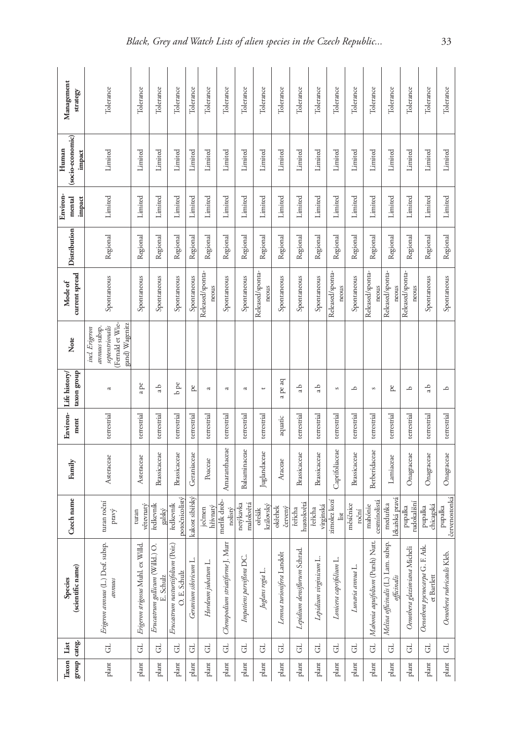| Management<br>strategy              | Tolerance                                                                               | Tolerance                          | Tolerance                                    | Tolerance                                              | Tolerance             | Tolerance                 | Tolerance                        | Tolerance                | Tolerance                 | Tolerance                 | Tolerance                    | Tolerance              | Tolerance                 | Tolerance          | Tolerance                           | Tolerance                                           | Tolerance                     | Tolerance                                      | Tolerance                   |
|-------------------------------------|-----------------------------------------------------------------------------------------|------------------------------------|----------------------------------------------|--------------------------------------------------------|-----------------------|---------------------------|----------------------------------|--------------------------|---------------------------|---------------------------|------------------------------|------------------------|---------------------------|--------------------|-------------------------------------|-----------------------------------------------------|-------------------------------|------------------------------------------------|-----------------------------|
| (socio-economic)<br>Human<br>impact | Limited                                                                                 | Limited                            | Limited                                      | Limited                                                | Limited               | Limited                   | Limited                          | Limited                  | Limited                   | Limited                   | Limited                      | Limited                | Limited                   | Limited            | Limited                             | Limited                                             | Limited                       | Limited                                        | Limited                     |
| Environ-<br>mental<br>impact        | Limited                                                                                 | Limited                            | Limited                                      | Limited                                                | Limited               | Limited                   | Limited                          | Limited                  | Limited                   | Limited                   | Limited                      | Limited                | Limited                   | Limited            | Limited                             | Limited                                             | Limited                       | Limited                                        | Limited                     |
| Distribution                        | Regional                                                                                | Regional                           | Regional                                     | Regional                                               | Regional              | Regional                  | Regional                         | Regional                 | Regional                  | Regional                  | Regional                     | Regional               | Regional                  | Regional           | Regional                            | Regional                                            | Regional                      | Regional                                       | Regional                    |
| current spread<br><b>Mode of</b>    | Spontaneous                                                                             | Spontaneous                        | Spontaneous                                  | Spontaneous                                            | Spontaneous           | Released/sponta-<br>neous | Spontaneous                      | Spontaneous              | Released/sponta-<br>neous | Spontaneous               | Spontaneous                  | Spontaneous            | Released/sponta-<br>neous | Spontaneous        | Released/sponta-<br>neous           | Released/sponta-<br>neous                           | Released/sponta-<br>neous     | Spontaneous                                    | Spontaneous                 |
| Note                                | Fernald et Wie-<br>gand) Wagenitz<br>septentrionalis<br>annuus subsp.<br>incl. Erigeron |                                    |                                              |                                                        |                       |                           |                                  |                          |                           |                           |                              |                        |                           |                    |                                     |                                                     |                               |                                                |                             |
| taxon group<br>Life history         | $\mathfrak{a}$                                                                          | a pe                               | da                                           | $b$ pe                                                 | pe                    | $\mathfrak{a}$            | $\overline{\mathfrak{c}}$        | $\approx$                | $\overline{\phantom{a}}$  | a pe aq                   | da                           | da                     | S                         | م                  | $\mathfrak{S}$                      | pe                                                  | م                             | da                                             | $\overline{\phantom{0}}$    |
| Environ-<br>ment                    | terrestrial                                                                             | terrestrial                        | terrestrial                                  | terrestrial                                            | terrestrial           | terrestrial               | terrestrial                      | terrestrial              | terrestrial               | aquatic                   | terrestrial                  | terrestrial            | terrestrial               | terrestrial        | terrestrial                         | terrestrial                                         | terrestrial                   | terrestrial                                    | terrestrial                 |
| Family                              | Asteraceae                                                                              | Asteraceae                         | Brassicaceae                                 | Brassicaceae                                           | Geraniaceae           | Poaceae                   | Amaranthaceae                    | Balsaminaceae            | Juglandaceae              | Araceae                   | Brassicaceae                 | Brassicaceae           | Caprifoliaceae            | Brassicaceae       | Berberidaceae                       | Lamiaceae                                           | Onagraceae                    | Onagraceae                                     | Onagraceae                  |
| Czech name                          | turan roční<br>pravý                                                                    | větevnatý<br>turan                 | ředkevník<br>galský                          | potočnicolistý<br>ředkevník                            | kakost sibiřský       | hřívnatý<br>ječmen        | merlík drob-<br>nolistý          | malokvětá<br>netýkavka   | královský<br>ořešák       | okřehek<br>červený        | hustokvětá<br>řeňcha         | virginská<br>řeňcha    | zimolez kozí<br>list      | mésiénice<br>roční | cesmínolistá<br>mahónie             | ékařská pravá<br>meduňka                            | udokališní<br>pupalka         | chicagská<br>pupalka                           | červenostonká<br>pupalka    |
| (scientific name)<br>Species        | Erigeron annuus (L.) Desf. subsp.<br>$a$ muns                                           | Erigeron strigosus Muhl. ex Willd. | Erucastrum gallicum (Willd.) O.<br>E. Schulz | Poir.)<br>Erucastrum nasturtifolium (I<br>O. E. Schulz | Geranium sibiricum L. | Hordeum jubatum L.        | Chenopodium striatiforme J. Murr | Impatiens parviflora DC. | Juglans regia L.          | Lemna turionifera Landolt | Lepidium densiflorum Schrad. | Lepidium virginicum L. | Lonicera caprifolium L.   | Lunaria annua L.   | Nutt.<br>Mahonia aquifolium (Pursh) | Melissa officinalis (L.) Lam. subsp.<br>officinalis | Oenothera glazioviana Micheli | Oenothera pycnocarpa G. F. Atk.<br>et Bartlett | Oenothera rubricaulis Kleb. |
| List                                | $\overline{G}$                                                                          | $\overline{d}$                     | $\overline{G}$                               | G                                                      | GL                    | J                         | $\overline{d}$                   | $\overline{G}$           | $\overline{G}$            | G                         | J                            | $\overline{G}$         | G                         | G                  | đ                                   | $\overline{G}$                                      | $\overline{d}$                | GL                                             | $\overline{d}$              |
| group categ.<br>Taxon               | plant                                                                                   | plant                              | plant                                        | plant                                                  | plant                 | plant                     | plant                            | plant                    | plant                     | plant                     | plant                        | plant                  | plant                     | plant              | plant                               | plant                                               | plant                         | plant                                          | $_{\rm plant}$              |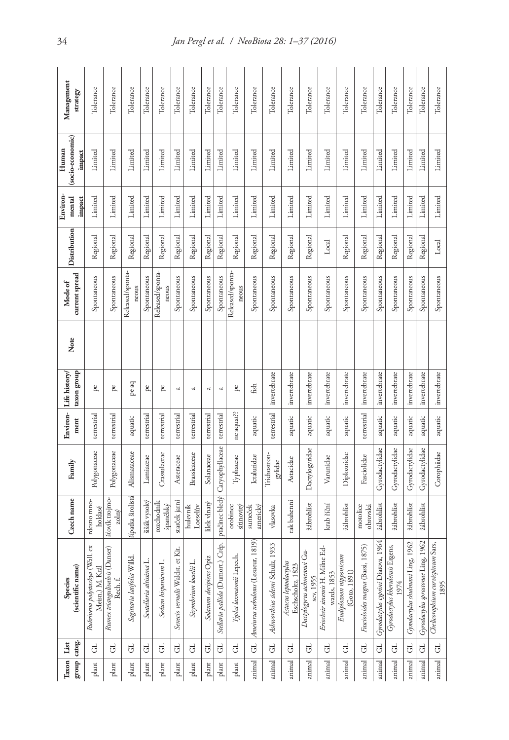| Management<br>strategy              | Tolerance                                           | Tolerance                                      | Tolerance                  | Tolerance                | Tolerance                 | Tolerance                           | Tolerance              | Tolerance              | Tolerance                         | Tolerance                 | Tolerance                             | Tolerance                           | Tolerance                                  | Tolerance                               | Tolerance                                         | Tolerance                              | Tolerance                        | Tolerance                             | Tolerance                                | Tolerance                           | Tolerance                             | Tolerance                                   |
|-------------------------------------|-----------------------------------------------------|------------------------------------------------|----------------------------|--------------------------|---------------------------|-------------------------------------|------------------------|------------------------|-----------------------------------|---------------------------|---------------------------------------|-------------------------------------|--------------------------------------------|-----------------------------------------|---------------------------------------------------|----------------------------------------|----------------------------------|---------------------------------------|------------------------------------------|-------------------------------------|---------------------------------------|---------------------------------------------|
| (socio-economic)<br>Human<br>impact | Limited                                             | Limited                                        | Limited                    | Limited                  | Limited                   | Limited                             | Limited                | Limited                | Limited                           | Limited                   | Limited                               | Limited                             | Limited                                    | Limited                                 | Limited                                           | Limited                                | Limited                          | Limited                               | Limited                                  | Limited                             | Limited                               | Limited                                     |
| <b>Environ</b><br>mental<br>impact  | Limited                                             | Limited                                        | Limited                    | Limited                  | Limited                   | Limited                             | Limited                | Limited                | Limited                           | Limited                   | Limited                               | Limited                             | Limited                                    | Limited                                 | Limited                                           | Limited                                | Limited                          | Limited                               | Limited                                  | Limited                             | Limited                               | Limited                                     |
| Distribution                        | Regional                                            | Regional                                       | Regional                   | Regional                 | Regional                  | Regional                            | Regional               | Regional               | Regional                          | Regional                  | Regional                              | Regional                            | Regional                                   | Regional                                | Local                                             | Regional                               | Regional                         | Regional                              | Regional                                 | Regional                            | Regional                              | Local                                       |
| current spread<br>Mode of           | Spontaneous                                         | Spontaneous                                    | Released/sponta-<br>neous  | Spontaneous              | Released/sponta-<br>neous | Spontaneous                         | Spontaneous            | Spontaneous            | Spontaneous                       | Released/sponta-<br>neous | Spontaneous                           | Spontaneous                         | Spontaneous                                | Spontaneous                             | Spontaneous                                       | Spontaneous                            | Spontaneous                      | Spontaneous                           | Spontaneous                              | Spontaneous                         | Spontaneous                           | Spontaneous                                 |
| Note                                |                                                     |                                                |                            |                          |                           |                                     |                        |                        |                                   |                           |                                       |                                     |                                            |                                         |                                                   |                                        |                                  |                                       |                                          |                                     |                                       |                                             |
| taxon group<br>Life history/        | pe                                                  | pe                                             | pe aq                      | pe,                      | pe                        | a                                   | a                      | ß                      | a                                 | pe                        | fish                                  | invertebrate                        | invertebrate                               | invertebrate                            | invertebrate                                      | invertebrate                           | invertebrate                     | invertebrate                          | invertebrate                             | invertebrate                        | invertebrate                          | invertebrate                                |
| Environ-<br>ment                    | terrestrial                                         | terrestrial                                    | aquatic                    | terrestrial              | terrestrial               | terrestrial                         | terrestrial            | terrestrial            | terrestrial                       | ne aquat?                 | aquatic                               | terrestrial                         | aquatic                                    | aquatic                                 | aquatic                                           | aquatic                                | terrestrial                      | aquatic                               | aquatic                                  | aquatic                             | aquatic                               | aquatic                                     |
| Family                              | Polygonaceae                                        | Polygonaceae                                   | Alismataceae               | Lamiaceae                | Crassulaceae              | Asteraceae                          | <b>Brassicaceae</b>    | Solanaceae             | Caryophyllaceae                   | Typhaceae                 | Ictaluridae                           | Trichostron-<br>gylidae             | Astacidae                                  | Dactylogyridae                          | Varunidae                                         | Diplozoidae                            | Fasciolidae                      | Gyrodactylidae                        | Gyrodactylidae                           | Gyrodactylidae                      | Gyrodactylidae                        | Corophiidae                                 |
| Czech name                          | rdesno mno-<br>hoklasé                              | stovík trojmo-<br>zolný                        | ší patka širolistá         | šišák vysoký             | rozchodník<br>španělský   | starček jarní                       | hulevník<br>Loeselův   | lilek vlnatý           | ptačinec bledý                    | sítinovitý<br>orobinec    | americký<br>sumeček                   | vlasovka                            | rak bahenní                                | žábrohlíst                              | krab říční                                        | žábrohlíst                             | motolice<br>obrovská             | <i><b>żábrohlíst</b></i>              | žábrohlíst                               | <b>žábrohlíst</b>                   | žábrohlíst                            |                                             |
| (scientific name)<br>Species        | õ<br>Rubrivena polystachya (Wall<br>Meisn.) M. Král | ser)<br>Rumex triangulivalvis (Dan<br>Rech. f. | Sagittaria latifolia Willd | Scutellaria altissima L. | Sedum hispanicum L.       | Kit.<br>Senecio vernalis Waldst. et | Sisymbrium loeselii L. | Solanum decipiens Opiz | Stellaria pallida (Dumort.) Crép. | Typha laomannii Lepech    | 1819)<br>Ameiurus nebulosus (Lesueur, | 933<br>Ashworthius sidemi Schulz, 1 | Astacus leptodactylus<br>Eschscholtz, 1823 | Dactylogyrus achmerowi Gu-<br>sev, 1955 | Ed-<br>Eriocheir sinensis H. Milne<br>wards, 1853 | Eudiplozoon nipponicum<br>(Goto, 1891) | Fascioloides magna (Bassi, 1875) | 1964<br>Gyrodactylus cyprini Diarova, | Gyrodactylus kherulensis Ergens,<br>1974 | 1962<br>Gyrodactylus shulmani Ling, | 1962<br>Gyrodactylus sprostonae Ling, | Sars,<br>Chelicorophium curvispinum<br>1895 |
|                                     | J                                                   | J                                              | J                          | J                        | J                         | J                                   | $\overline{G}$         | J                      | J                                 | $\overline{G}$            | $\overline{d}$                        | $\overline{G}$                      | GL,                                        | GL.                                     | J                                                 | ರ                                      | $\overline{G}$                   | $\rm G$                               | ರ                                        | $\overline{d}$                      | $\overline{d}$                        | $\overline{G}$                              |
| group categ.<br>Taxon   List        | plant                                               | plant                                          | plant                      | plant                    | plant                     | plant                               | plant                  | plant                  | plant                             | plant                     | animal                                | animal                              | animal                                     | animal                                  | animal                                            | animal                                 | animal                           | animal                                | animal                                   | animal                              | animal                                | animal                                      |

34 *Jan Pergl et al. / NeoBiota 28: 1–37 (2016)*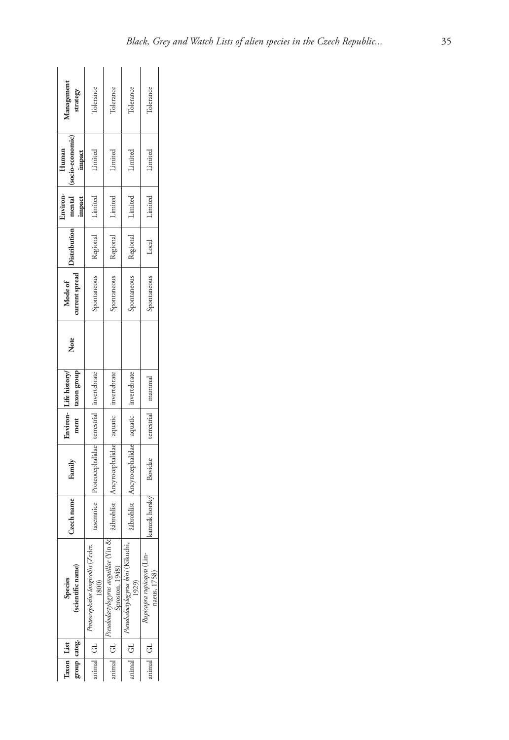| Management<br>strategy              | Tolerance                                          | Tolerance                                                  | Tolerance                                 | Tolerance                                |
|-------------------------------------|----------------------------------------------------|------------------------------------------------------------|-------------------------------------------|------------------------------------------|
| (socio-economic)<br>Human<br>impact | Limited                                            | Limited                                                    | Limited                                   | Limited                                  |
| Environ-<br>mental<br>impact        |                                                    | Regional Limited                                           | Regional Limited 1                        | Local   Limited                          |
| <b>Distribution</b>                 | Regional Limited                                   |                                                            |                                           |                                          |
| Mode of<br>current spread           | Spontaneous                                        | spontaneous                                                | spontaneous                               | Spontaneous                              |
| Note                                |                                                    |                                                            |                                           |                                          |
| Environ-Life history/<br>axon group |                                                    |                                                            | invertebrate                              | mammal                                   |
| ment                                |                                                    |                                                            |                                           | terrestrial                              |
| Family                              | asemnice Proteocephalidae terrestrial invertebrate | žábrohlíst Ancyrocephalidae aquatic invertebrate           | Ancyrocephalidae aquatic                  |                                          |
| Czech name                          |                                                    |                                                            | zábrohlíst                                | kamzík horský Bovidae                    |
| (scientific name)<br>Species        | эģ<br>Proteocephalus longicollis (Ze               | Yin &<br>Pseudodactylogyrus anguillae (<br>Sproston, 1948) | eudodactylogyrus bini (Kilkuchi,<br>1929) | Rupicapra rupicapra (Lin<br>naeus, 1758) |
|                                     | uimal GL                                           | nimal GL <sup>"</sup>                                      | nimal GL                                  | $nimal$ GL                               |
| group categ.<br>Taxon   List        |                                                    |                                                            |                                           |                                          |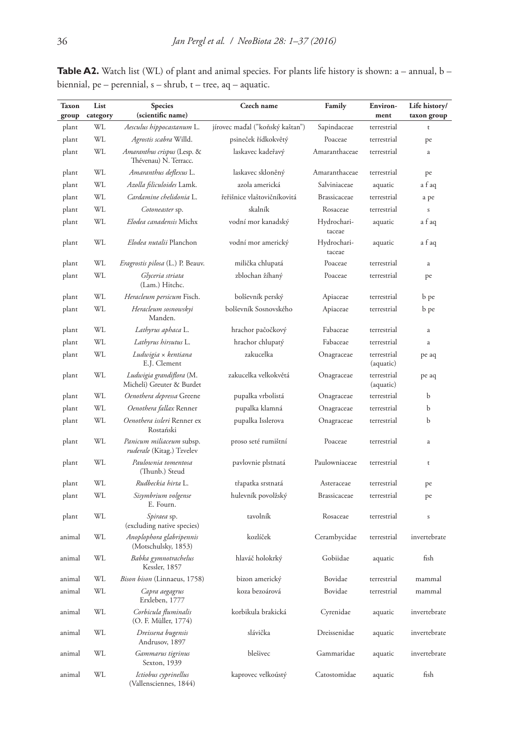| <b>Taxon</b> | List     | <b>Species</b>                                               | Czech name                      | Family                | Environ-                 | Life history/    |  |
|--------------|----------|--------------------------------------------------------------|---------------------------------|-----------------------|--------------------------|------------------|--|
| group        | category | (scientific name)                                            |                                 |                       | ment                     | taxon group      |  |
| plant        | WL       | Aesculus hippocastanum L.                                    | jírovec maďal ("koňský kaštan") | Sapindaceae           | terrestrial              | t                |  |
| plant        | WL       | Agrostis scabra Willd.                                       | psineček řídkokvětý             | Poaceae               | terrestrial              | pe               |  |
| plant        | WL       | Amaranthus crispus (Lesp. &<br>Thévenau) N. Terracc.         | laskavec kadeřavý               | Amaranthaceae         | terrestrial              | a                |  |
| plant        | WL       | Amaranthus deflexus L.                                       | laskavec skloněný               | Amaranthaceae         | terrestrial              | pe               |  |
| plant        | WL       | <i>Azolla filiculoides</i> Lamk.                             | azola americká                  | Salviniaceae          | aquatic                  | a f aq           |  |
| plant        | WL       | Cardamine chelidonia L.                                      | řeřišnice vlaštovičníkovitá     | <b>Brassicaceae</b>   | terrestrial              | a pe             |  |
| plant        | WL       | Cotoneaster sp.                                              | skalník                         | Rosaceae              | terrestrial              | $\boldsymbol{S}$ |  |
| plant        | WL       | Elodea canadensis Michx                                      | vodní mor kanadský              | Hydrochari-<br>taceae | aquatic                  | a f aq           |  |
| plant        | WL       | Elodea nutalii Planchon                                      | vodní mor americký              | Hydrochari-<br>taceae | aquatic                  | a f aq           |  |
| plant        | WL       | <i>Eragrostis pilosa</i> (L.) P. Beauv.                      | milička chlupatá                | Poaceae               | terrestrial              | $\rm{a}$         |  |
| plant        | WL       | Glyceria striata<br>(Lam.) Hitchc.                           | zblochan žíhaný                 | Poaceae               | terrestrial              | pe               |  |
| plant        | WL       | <i>Heracleum persicum</i> Fisch.                             | bolševník perský                | Apiaceae              | terrestrial              | b pe             |  |
| plant        | WL       | Heracleum sosnowskyi<br>Manden.                              | bolševník Sosnovského           | Apiaceae              | terrestrial              | b pe             |  |
| plant        | WL       | Lathyrus aphaca L.                                           | hrachor pačočkový               | Fabaceae              | terrestrial              | $\rm{a}$         |  |
| plant        | WL       | Lathyrus hirsutus L.                                         | hrachor chlupatý                | Fabaceae              | terrestrial              | a                |  |
| plant        | WL       | Ludwigia × kentiana<br>E.J. Clement                          | zakucelka                       | Onagraceae            | terrestrial<br>(aquatic) | pe aq            |  |
| plant        | WL       | Ludwigia grandiflora (M.<br>Micheli) Greuter & Burdet        | zakucelka velkokvětá            | Onagraceae            | terrestrial<br>(aquatic) | pe aq            |  |
| plant        | WL       | Oenothera depressa Greene                                    | pupalka vrbolistá               | Onagraceae            | terrestrial              | b                |  |
| plant        | WL       | Oenothera fallax Renner                                      | pupalka klamná                  | Onagraceae            | terrestrial              | b                |  |
| plant        | WL       | Oenothera issleri Renner ex<br>Rostański                     | pupalka Isslerova               | Onagraceae            | terrestrial              | b                |  |
| plant        | WL       | Panicum miliaceum subsp.<br><i>ruderale</i> (Kitag.) Tzvelev | proso seté rumištní             | Poaceae               | terrestrial              | a                |  |
| plant        | WL       | Paulownia tomentosa<br>(Thunb.) Steud                        | pavlovnie plstnatá              | Paulowniaceae         | terrestrial              | t                |  |
| plant        | WL       | Rudbeckia hirta L.                                           | třapatka srstnatá               | Asteraceae            | terrestrial              | pe               |  |
| plant        | WL       | Sisymbrium volgense<br>E. Fourn.                             | hulevník povolžský              | <b>Brassicaceae</b>   | terrestrial              | pe               |  |
| plant        | WL       | Spiraea sp.<br>(excluding native species)                    | tavolník                        | Rosaceae              | terrestrial              | $\boldsymbol{S}$ |  |
| animal       | WL       | Anoplophora glabripennis<br>(Motschulsky, 1853)              | kozlíček                        | Cerambycidae          | terrestrial              | invertebrate     |  |
| animal       | WL       | Babka gymnotrachelus<br>Kessler, 1857                        | hlaváč holokrký                 | Gobiidae              | aquatic                  | fish             |  |
| animal       | WL       | Bison bison (Linnaeus, 1758)                                 | bizon americký                  | Bovidae               | terrestrial              | mammal           |  |
| animal       | WL       | Capra aegagrus<br>Erxleben, 1777                             | koza bezoárová                  | Bovidae               | terrestrial              | mammal           |  |
| animal       | WL       | Corbicula fluminalis<br>(O. F. Müller, 1774)                 | korbikula brakická              | Cyrenidae             | aquatic                  | invertebrate     |  |
| animal       | WL       | Dreissena bugensis<br>Andrusov, 1897                         | slávička                        | Dreissenidae          | aquatic                  | invertebrate     |  |
| animal       | WL       | Gammarus tigrinus<br>Sexton, 1939                            | blešivec                        | Gammaridae            | aquatic                  | invertebrate     |  |
| animal       | WL       | Ictiobus cyprinellus<br>(Vallensciennes, 1844)               | kaprovec velkoústý              | Catostomidae          | aquatic                  | fish             |  |

**Table A2.** Watch list (WL) of plant and animal species. For plants life history is shown: a – annual, b – biennial, pe – perennial, s – shrub, t – tree, aq – aquatic.